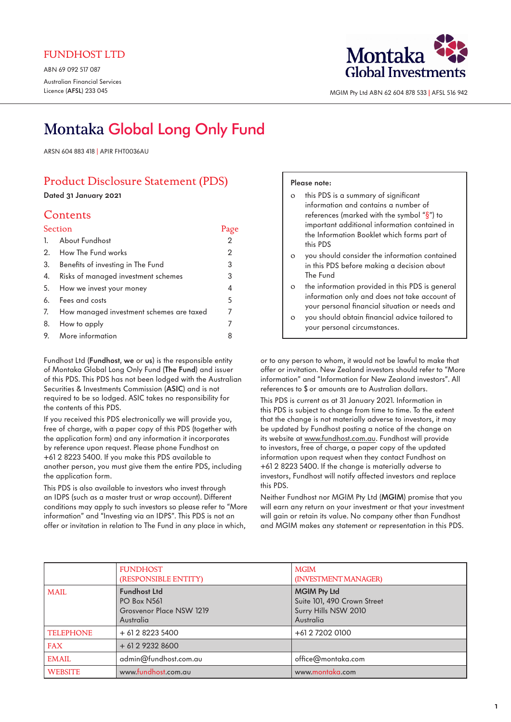ABN 69 092 517 087 Australian Financial Services Licence (AFSL) 233 045



MGIM Pty Ltd ABN 62 604 878 533 | AFSL 516 942

# Montaka Global Long Only Fund

ARSN 604 883 418 | APIR FHT0036AU

# Product Disclosure Statement (PDS)

Dated 31 January 2021

# Contents

| Section                                     | Page           |
|---------------------------------------------|----------------|
| 1. About Fundhost                           | $\overline{2}$ |
| 2. How The Fund works                       | $\overline{2}$ |
| 3. Benefits of investing in The Fund        | 3              |
| 4. Risks of managed investment schemes      | 3              |
| 5. How we invest your money                 | 4              |
| 6. Fees and costs                           | 5              |
| 7. How managed investment schemes are taxed | 7              |
| 8. How to apply                             | 7              |
| 9. More information                         | 8              |

Fundhost Ltd (Fundhost, we or us) is the responsible entity of Montaka Global Long Only Fund (The Fund) and issuer of this PDS. This PDS has not been lodged with the Australian Securities & Investments Commission (ASIC) and is not required to be so lodged. ASIC takes no responsibility for the contents of this PDS.

If you received this PDS electronically we will provide you, free of charge, with a paper copy of this PDS (together with the application form) and any information it incorporates by reference upon request. Please phone Fundhost on +61 2 8223 5400. If you make this PDS available to another person, you must give them the entire PDS, including the application form.

This PDS is also available to investors who invest through an IDPS (such as a master trust or wrap account). Different conditions may apply to such investors so please refer to ["More](#page-7-0)  [information](#page-7-0)" and "[Investing via an IDPS"](#page-7-0). This PDS is not an offer or invitation in relation to The Fund in any place in which,

# Please note:

| $\Omega$ | this PDS is a summary of significant                                                                                                               |
|----------|----------------------------------------------------------------------------------------------------------------------------------------------------|
|          | information and contains a number of                                                                                                               |
|          | references (marked with the symbol " $\S$ ") to                                                                                                    |
|          | important additional information contained in                                                                                                      |
|          | the Information Booklet which forms part of<br>this PDS                                                                                            |
| $\Omega$ | you should consider the information contained<br>in this PDS before making a decision about<br>The Fund                                            |
| $\Omega$ | the information provided in this PDS is general<br>information only and does not take account of<br>your personal financial situation or needs and |
| $\Omega$ | you should obtain financial advice tailored to                                                                                                     |

or to any person to whom, it would not be lawful to make that offer or invitation. New Zealand investors should refer to "[More](#page-7-0)  [information"](#page-7-0) and ["Information for New Zealand investors"](#page-7-0). All references to \$ or amounts are to Australian dollars.

your personal circumstances.

This PDS is current as at 31 January 2021. Information in this PDS is subject to change from time to time. To the extent that the change is not materially adverse to investors, it may be updated by Fundhost posting a notice of the change on its website at www.fundhost.com.au. Fundhost will provide to investors, free of charge, a paper copy of the updated information upon request when they contact Fundhost on +61 2 8223 5400. If the change is materially adverse to investors, Fundhost will notify affected investors and replace this PDS.

Neither Fundhost nor MGIM Pty Ltd (MGIM) promise that you will earn any return on your investment or that your investment will gain or retain its value. No company other than Fundhost and MGIM makes any statement or representation in this PDS.

|                  | <b>FUNDHOST</b><br>(RESPONSIBLE ENTITY)                                                   | <b>MGIM</b><br>(INVESTMENT MANAGER)                                                     |
|------------------|-------------------------------------------------------------------------------------------|-----------------------------------------------------------------------------------------|
| <b>MAIL</b>      | <b>Fundhost Ltd</b><br><b>PO Box N561</b><br><b>Grosvenor Place NSW 1219</b><br>Australia | <b>MGIM Pty Ltd</b><br>Suite 101, 490 Crown Street<br>Surry Hills NSW 2010<br>Australia |
| <b>TELEPHONE</b> | $+61282235400$                                                                            | +61 2 7202 0100                                                                         |
| <b>FAX</b>       | $+61292328600$                                                                            |                                                                                         |
| <b>EMAIL</b>     | admin@fundhost.com.au                                                                     | office@montaka.com                                                                      |
| <b>WEBSITE</b>   | www.fundhost.com.au                                                                       | www.montaka.com                                                                         |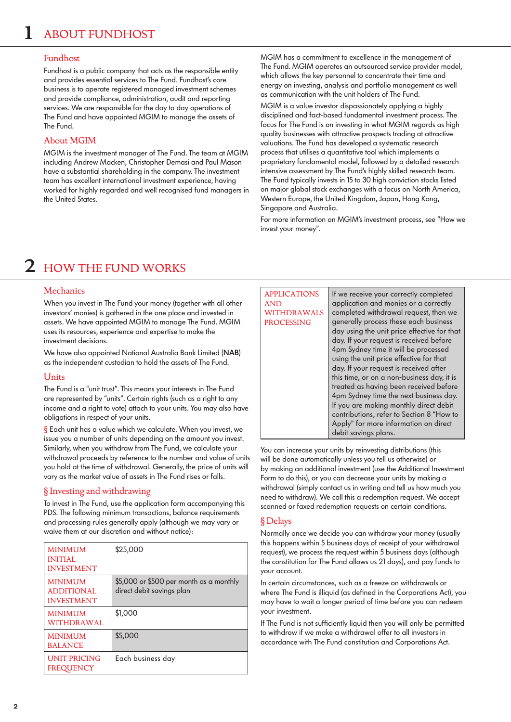## <span id="page-1-0"></span>Fundhost

Fundhost is a public company that acts as the responsible entity and provides essential services to The Fund. Fundhost's core business is to operate registered managed investment schemes and provide compliance, administration, audit and reporting services. We are responsible for the day to day operations of The Fund and have appointed MGIM to manage the assets of The Fund.

# About MGIM

MGIM is the investment manager of The Fund. The team at MGIM including Andrew Macken, Christopher Demasi and Paul Mason have a substantial shareholding in the company. The investment team has excellent international investment experience, having worked for highly regarded and well recognised fund managers in the United States.

MGIM has a commitment to excellence in the management of The Fund. MGIM operates an outsourced service provider model, which allows the key personnel to concentrate their time and energy on investing, analysis and portfolio management as well as communication with the unit holders of The Fund.

MGIM is a value investor dispassionately applying a highly disciplined and fact-based fundamental investment process. The focus for The Fund is on investing in what MGIM regards as high quality businesses with attractive prospects trading at attractive valuations. The Fund has developed a systematic research process that utilises a quantitative tool which implements a proprietary fundamental model, followed by a detailed researchintensive assessment by The Fund's highly skilled research team. The Fund typically invests in 15 to 30 high conviction stocks listed on major global stock exchanges with a focus on North America, Western Europe, the United Kingdom, Japan, Hong Kong, Singapore and Australia.

For more information on MGIM's investment process, see ["How we](#page-3-0)  [invest your money](#page-3-0)".

# 2 HOW THE FUND WORKS

## **Mechanics**

When you invest in The Fund your money (together with all other investors' monies) is gathered in the one place and invested in assets. We have appointed MGIM to manage The Fund. MGIM uses its resources, experience and expertise to make the investment decisions.

We have also appointed National Australia Bank Limited (NAB) as the independent custodian to hold the assets of The Fund.

### **Units**

The Fund is a "unit trust". This means your interests in The Fund are represented by "units". Certain rights (such as a right to any income and a right to vote) attach to your units. You may also have obligations in respect of your units.

§ Each unit has a value which we calculate. When you invest, we issue you a number of units depending on the amount you invest. Similarly, when you withdraw from The Fund, we calculate your withdrawal proceeds by reference to the number and value of units you hold at the time of withdrawal. Generally, the price of units will vary as the market value of assets in The Fund rises or falls.

# § Investing and withdrawing

To invest in The Fund, use the application form accompanying this PDS. The following minimum transactions, balance requirements and processing rules generally apply (although we may vary or waive them at our discretion and without notice):

| <b>MINIMUM</b><br><b>INITIAL</b><br><b>INVESTMENT</b>    | \$25,000                                                             |
|----------------------------------------------------------|----------------------------------------------------------------------|
| <b>MINIMUM</b><br><b>ADDITIONAL</b><br><b>INVESTMENT</b> | \$5,000 or \$500 per month as a monthly<br>direct debit savings plan |
| <b>MINIMUM</b><br>WITHDRAWAL                             | \$1,000                                                              |
| <b>MINIMUM</b><br><b>BALANCE</b>                         | \$5,000                                                              |
| <b>UNIT PRICING</b><br><b>FREQUENCY</b>                  | Each business day                                                    |

#### APPLICATIONS AND WITHDRAWALS

PROCESSING application and monies or a correctly completed withdrawal request, then we generally process these each business day using the unit price effective for that day. If your request is received before 4pm Sydney time it will be processed using the unit price effective for that day. If your request is received after this time, or on a non-business day, it is treated as having been received before 4pm Sydney time the next business day. If you are making monthly direct debit contributions, refer to Section 8 "[How to](#page-6-0)  [Apply"](#page-6-0) for more information on direct debit savings plans.

If we receive your correctly completed

You can increase your units by reinvesting distributions (this will be done automatically unless you tell us otherwise) or by making an additional investment (use the Additional Investment Form to do this), or you can decrease your units by making a withdrawal (simply contact us in writing and tell us how much you need to withdraw). We call this a redemption request. We accept scanned or faxed redemption requests on certain conditions.

# § Delays

Normally once we decide you can withdraw your money (usually this happens within 5 business days of receipt of your withdrawal request), we process the request within 5 business days (although the constitution for The Fund allows us 21 days), and pay funds to your account.

In certain circumstances, such as a freeze on withdrawals or where The Fund is illiquid (as defined in the Corporations Act), you may have to wait a longer period of time before you can redeem your investment.

If The Fund is not sufficiently liquid then you will only be permitted to withdraw if we make a withdrawal offer to all investors in accordance with The Fund constitution and Corporations Act.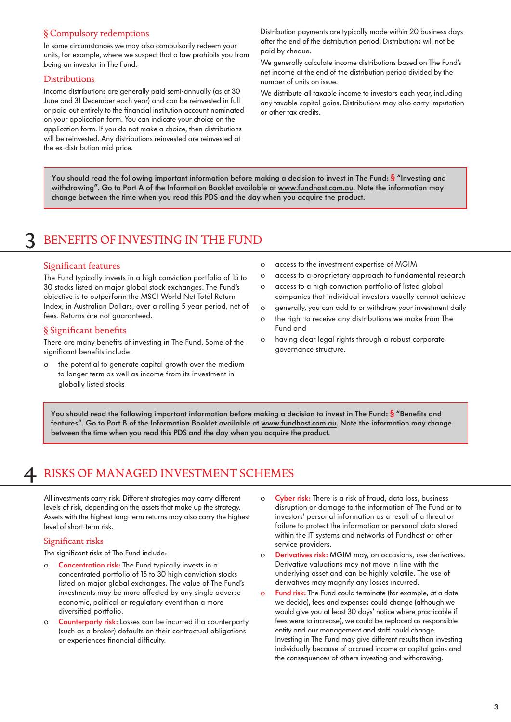# <span id="page-2-0"></span>§ Compulsory redemptions

In some circumstances we may also compulsorily redeem your units, for example, where we suspect that a law prohibits you from being an investor in The Fund.

### **Distributions**

Income distributions are generally paid semi-annually (as at 30 June and 31 December each year) and can be reinvested in full or paid out entirely to the financial institution account nominated on your application form. You can indicate your choice on the application form. If you do not make a choice, then distributions will be reinvested. Any distributions reinvested are reinvested at the ex-distribution mid-price.

Distribution payments are typically made within 20 business days after the end of the distribution period. Distributions will not be paid by cheque.

We generally calculate income distributions based on The Fund's net income at the end of the distribution period divided by the number of units on issue.

We distribute all taxable income to investors each year, including any taxable capital gains. Distributions may also carry imputation or other tax credits.

You should read the following important information before making a decision to invest in The Fund: § "Investing and withdrawing". Go to Part A of the Information Booklet available at www.fundhost.com.au. Note the information may change between the time when you read this PDS and the day when you acquire the product.

# BENEFITS OF INVESTING IN THE FUND

### Significant features

The Fund typically invests in a high conviction portfolio of 15 to 30 stocks listed on major global stock exchanges. The Fund's objective is to outperform the MSCI World Net Total Return Index, in Australian Dollars, over a rolling 5 year period, net of fees. Returns are not guaranteed.

### § Significant benefits

There are many benefits of investing in The Fund. Some of the significant benefits include:

o the potential to generate capital growth over the medium to longer term as well as income from its investment in globally listed stocks

- o access to the investment expertise of MGIM
- o access to a proprietary approach to fundamental research
- o access to a high conviction portfolio of listed global companies that individual investors usually cannot achieve
- o generally, you can add to or withdraw your investment daily
- o the right to receive any distributions we make from The Fund and
- o having clear legal rights through a robust corporate governance structure.

You should read the following important information before making a decision to invest in The Fund:  $\S$  "Benefits and features". Go to Part B of the Information Booklet available at www.fundhost.com.au. Note the information may change between the time when you read this PDS and the day when you acquire the product.

# RISKS OF MANAGED INVESTMENT SCHEMES

All investments carry risk. Different strategies may carry different levels of risk, depending on the assets that make up the strategy. Assets with the highest long-term returns may also carry the highest level of short-term risk.

### Significant risks

The significant risks of The Fund include:

- Concentration risk: The Fund typically invests in a concentrated portfolio of 15 to 30 high conviction stocks listed on major global exchanges. The value of The Fund's investments may be more affected by any single adverse economic, political or regulatory event than a more diversified portfolio.
- o Counterparty risk: Losses can be incurred if a counterparty (such as a broker) defaults on their contractual obligations or experiences financial difficulty.
- o Cyber risk: There is a risk of fraud, data loss, business disruption or damage to the information of The Fund or to investors' personal information as a result of a threat or failure to protect the information or personal data stored within the IT systems and networks of Fundhost or other service providers.
- o Derivatives risk: MGIM may, on occasions, use derivatives. Derivative valuations may not move in line with the underlying asset and can be highly volatile. The use of derivatives may magnify any losses incurred.
- o Fund risk: The Fund could terminate (for example, at a date we decide), fees and expenses could change (although we would give you at least 30 days' notice where practicable if fees were to increase), we could be replaced as responsible entity and our management and staff could change. Investing in The Fund may give different results than investing individually because of accrued income or capital gains and the consequences of others investing and withdrawing.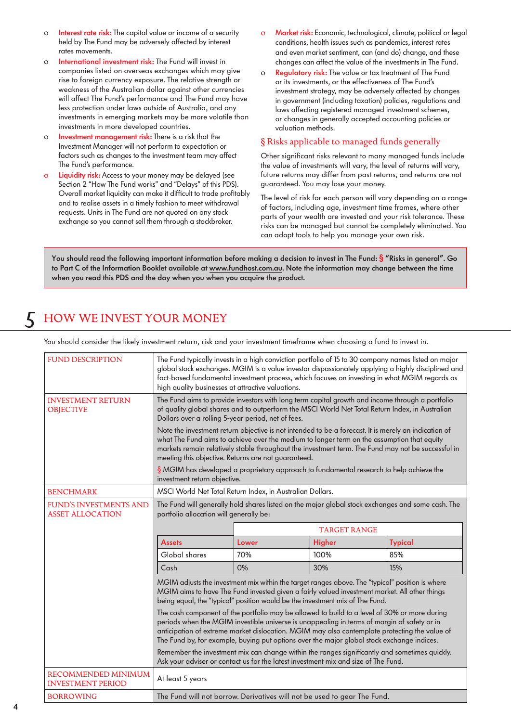- <span id="page-3-0"></span>o **Interest rate risk:** The capital value or income of a security held by The Fund may be adversely affected by interest rates movements.
- o International investment risk: The Fund will invest in companies listed on overseas exchanges which may give rise to foreign currency exposure. The relative strength or weakness of the Australian dollar against other currencies will affect The Fund's performance and The Fund may have less protection under laws outside of Australia, and any investments in emerging markets may be more volatile than investments in more developed countries.
- o Investment management risk: There is a risk that the Investment Manager will not perform to expectation or factors such as changes to the investment team may affect The Fund's performance.
- o Liquidity risk: Access to your money may be delayed (see Section 2 ["How The Fund works"](#page-1-0) and ["Delays](#page-1-0)" of this PDS). Overall market liquidity can make it difficult to trade profitably and to realise assets in a timely fashion to meet withdrawal requests. Units in The Fund are not quoted on any stock exchange so you cannot sell them through a stockbroker.
- o Market risk: Economic, technological, climate, political or legal conditions, health issues such as pandemics, interest rates and even market sentiment, can (and do) change, and these changes can affect the value of the investments in The Fund.
- o Regulatory risk: The value or tax treatment of The Fund or its investments, or the effectiveness of The Fund's investment strategy, may be adversely affected by changes in government (including taxation) policies, regulations and laws affecting registered managed investment schemes, or changes in generally accepted accounting policies or valuation methods.

# § Risks applicable to managed funds generally

Other significant risks relevant to many managed funds include the value of investments will vary, the level of returns will vary, future returns may differ from past returns, and returns are not guaranteed. You may lose your money.

The level of risk for each person will vary depending on a range of factors, including age, investment time frames, where other parts of your wealth are invested and your risk tolerance. These risks can be managed but cannot be completely eliminated. You can adopt tools to help you manage your own risk.

You should read the following important information before making a decision to invest in The Fund: § "Risks in general". Go to Part C of the Information Booklet available at www.fundhost.com.au. Note the information may change between the time when you read this PDS and the day when you when you acquire the product.

# 5 HOW WE INVEST YOUR MONEY

You should consider the likely investment return, risk and your investment timeframe when choosing a fund to invest in.

| <b>FUND DESCRIPTION</b>                           | The Fund typically invests in a high conviction portfolio of 15 to 30 company names listed on major<br>global stock exchanges. MGIM is a value investor dispassionately applying a highly disciplined and<br>fact-based fundamental investment process, which focuses on investing in what MGIM regards as<br>high quality businesses at attractive valuations.                            |       |               |                |
|---------------------------------------------------|--------------------------------------------------------------------------------------------------------------------------------------------------------------------------------------------------------------------------------------------------------------------------------------------------------------------------------------------------------------------------------------------|-------|---------------|----------------|
| <b>INVESTMENT RETURN</b><br><b>OBJECTIVE</b>      | The Fund aims to provide investors with long term capital growth and income through a portfolio<br>of quality global shares and to outperform the MSCI World Net Total Return Index, in Australian<br>Dollars over a rolling 5-year period, net of fees.                                                                                                                                   |       |               |                |
|                                                   | Note the investment return objective is not intended to be a forecast. It is merely an indication of<br>what The Fund aims to achieve over the medium to longer term on the assumption that equity<br>markets remain relatively stable throughout the investment term. The Fund may not be successful in<br>meeting this objective. Returns are not guaranteed.                            |       |               |                |
|                                                   | $\S$ MGIM has developed a proprietary approach to fundamental research to help achieve the<br>investment return objective.                                                                                                                                                                                                                                                                 |       |               |                |
| <b>BENCHMARK</b>                                  | MSCI World Net Total Return Index, in Australian Dollars.                                                                                                                                                                                                                                                                                                                                  |       |               |                |
| FUND'S INVESTMENTS AND<br><b>ASSET ALLOCATION</b> | The Fund will generally hold shares listed on the major global stock exchanges and some cash. The<br>portfolio allocation will generally be:                                                                                                                                                                                                                                               |       |               |                |
|                                                   | <b>TARGET RANGE</b>                                                                                                                                                                                                                                                                                                                                                                        |       |               |                |
|                                                   | <b>Assets</b>                                                                                                                                                                                                                                                                                                                                                                              | Lower | <b>Higher</b> | <b>Typical</b> |
|                                                   | Global shares                                                                                                                                                                                                                                                                                                                                                                              | 70%   | 100%          | 85%            |
|                                                   | Cash                                                                                                                                                                                                                                                                                                                                                                                       | $0\%$ | 30%           | 15%            |
|                                                   | MGIM adjusts the investment mix within the target ranges above. The "typical" position is where<br>MGIM aims to have The Fund invested given a fairly valued investment market. All other things<br>being equal, the "typical" position would be the investment mix of The Fund.                                                                                                           |       |               |                |
|                                                   | The cash component of the portfolio may be allowed to build to a level of 30% or more during<br>periods when the MGIM investible universe is unappealing in terms of margin of safety or in<br>anticipation of extreme market dislocation. MGIM may also contemplate protecting the value of<br>The Fund by, for example, buying put options over the major global stock exchange indices. |       |               |                |
|                                                   | Remember the investment mix can change within the ranges significantly and sometimes quickly.<br>Ask your adviser or contact us for the latest investment mix and size of The Fund.                                                                                                                                                                                                        |       |               |                |
| RECOMMENDED MINIMUM<br><b>INVESTMENT PERIOD</b>   | At least 5 years                                                                                                                                                                                                                                                                                                                                                                           |       |               |                |
| <b>BORROWING</b>                                  | The Fund will not borrow. Derivatives will not be used to gear The Fund.                                                                                                                                                                                                                                                                                                                   |       |               |                |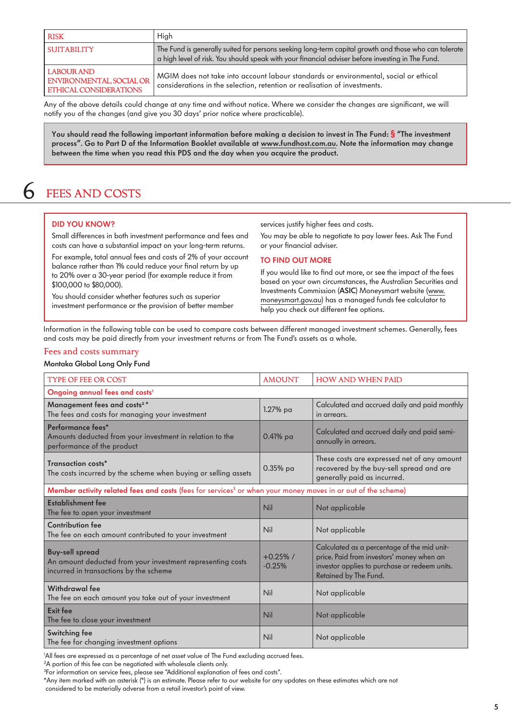<span id="page-4-0"></span>

| RISK                                                                    | High                                                                                                                                                                                                     |
|-------------------------------------------------------------------------|----------------------------------------------------------------------------------------------------------------------------------------------------------------------------------------------------------|
| <b>SUITABILITY</b>                                                      | The Fund is generally suited for persons seeking long-term capital growth and those who can tolerate<br>a high level of risk. You should speak with your financial adviser before investing in The Fund. |
| LABOUR AND<br>ENVIRONMENTAL, SOCIAL OR<br><b>ETHICAL CONSIDERATIONS</b> | MGIM does not take into account labour standards or environmental, social or ethical<br>considerations in the selection, retention or realisation of investments.                                        |

Any of the above details could change at any time and without notice. Where we consider the changes are significant, we will notify you of the changes (and give you 30 days' prior notice where practicable).

You should read the following important information before making a decision to invest in The Fund: § "The investment process". Go to Part D of the Information Booklet available at www.fundhost.com.au. Note the information may change between the time when you read this PDS and the day when you acquire the product.

# 6 FEES AND COSTS

### DID YOU KNOW?

Small differences in both investment performance and fees and costs can have a substantial impact on your long-term returns.

For example, total annual fees and costs of 2% of your account balance rather than 1% could reduce your final return by up to 20% over a 30-year period (for example reduce it from \$100,000 to \$80,000).

You should consider whether features such as superior investment performance or the provision of better member services justify higher fees and costs.

You may be able to negotiate to pay lower fees. Ask The Fund or your financial adviser.

### TO FIND OUT MORE

If you would like to find out more, or see the impact of the fees based on your own circumstances, the Australian Securities and Investments Commission (ASIC) Moneysmart website [\(www.](http://www.moneysmart.gov.au) [moneysmart.gov.au\)](http://www.moneysmart.gov.au) has a managed funds fee calculator to help you check out different fee options.

Information in the following table can be used to compare costs between different managed investment schemes. Generally, fees and costs may be paid directly from your investment returns or from The Fund's assets as a whole.

### Fees and costs summary

#### Montaka Global Long Only Fund

| <b>TYPE OF FEE OR COST</b>                                                                                                     | <b>AMOUNT</b>           | <b>HOW AND WHEN PAID</b>                                                                                                                                           |  |  |
|--------------------------------------------------------------------------------------------------------------------------------|-------------------------|--------------------------------------------------------------------------------------------------------------------------------------------------------------------|--|--|
| Ongoing annual fees and costs <sup>1</sup>                                                                                     |                         |                                                                                                                                                                    |  |  |
| Management fees and costs <sup>2*</sup><br>The fees and costs for managing your investment                                     | $1.27%$ pa              | Calculated and accrued daily and paid monthly<br>in arrears.                                                                                                       |  |  |
| Performance fees*<br>Amounts deducted from your investment in relation to the<br>performance of the product                    | $0.41%$ pa              | Calculated and accrued daily and paid semi-<br>annually in arrears.                                                                                                |  |  |
| Transaction costs*<br>The costs incurred by the scheme when buying or selling assets                                           | 0.35% pa                | These costs are expressed net of any amount<br>recovered by the buy-sell spread and are<br>generally paid as incurred.                                             |  |  |
| Member activity related fees and costs (fees for services <sup>3</sup> or when your money moves in or out of the scheme)       |                         |                                                                                                                                                                    |  |  |
| Establishment fee<br>The fee to open your investment                                                                           | Nil                     | Not applicable                                                                                                                                                     |  |  |
| <b>Contribution fee</b><br>The fee on each amount contributed to your investment                                               | Nil                     | Not applicable                                                                                                                                                     |  |  |
| <b>Buy-sell spread</b><br>An amount deducted from your investment representing costs<br>incurred in transactions by the scheme | $+0.25\%$ /<br>$-0.25%$ | Calculated as a percentage of the mid unit-<br>price. Paid from investors' money when an<br>investor applies to purchase or redeem units.<br>Retained by The Fund. |  |  |
| Withdrawal fee<br>The fee on each amount you take out of your investment                                                       | Nil                     | Not applicable                                                                                                                                                     |  |  |
| Exit fee<br>The fee to close your investment                                                                                   | Nil                     | Not applicable                                                                                                                                                     |  |  |
| Switching fee<br>The fee for changing investment options                                                                       | Nil                     | Not applicable                                                                                                                                                     |  |  |

1 All fees are expressed as a percentage of net asset value of The Fund excluding accrued fees.

2 A portion of this fee can be negotiated with wholesale clients only.

\*Any item marked with an asterisk (\*) is an estimate. Please refer to our website for any updates on these estimates which are not considered to be materially adverse from a retail investor's point of view.

<sup>&</sup>lt;sup>3</sup>For information on service fees, please see "Additional explanation of fees and costs".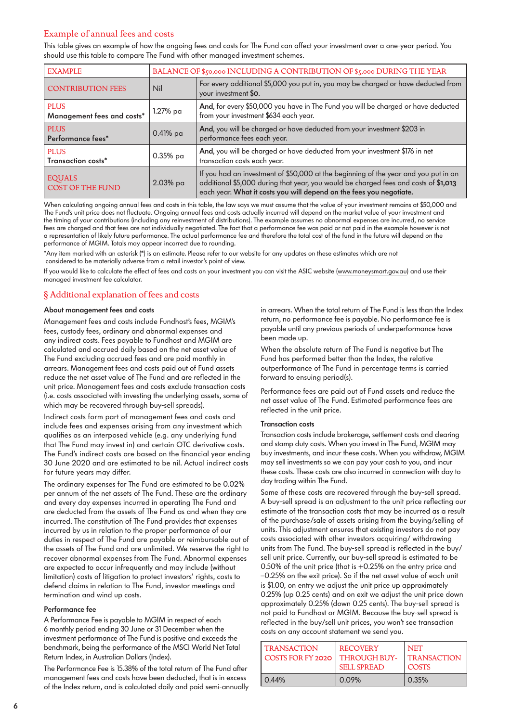# Example of annual fees and costs

This table gives an example of how the ongoing fees and costs for The Fund can affect your investment over a one-year period. You should use this table to compare The Fund with other managed investment schemes.

| <b>EXAMPLE</b>                            |             | BALANCE OF \$50,000 INCLUDING A CONTRIBUTION OF \$5,000 DURING THE YEAR                                                                                                                                                                           |  |  |
|-------------------------------------------|-------------|---------------------------------------------------------------------------------------------------------------------------------------------------------------------------------------------------------------------------------------------------|--|--|
| <b>CONTRIBUTION FEES</b>                  | Nil         | For every additional \$5,000 you put in, you may be charged or have deducted from<br>your investment \$0.                                                                                                                                         |  |  |
| <b>PLUS</b><br>Management fees and costs* | 1.27% pa    | And, for every \$50,000 you have in The Fund you will be charged or have deducted<br>from your investment \$634 each year.                                                                                                                        |  |  |
| <b>PLUS</b><br>Performance fees*          | 0.41% pa    | And, you will be charged or have deducted from your investment \$203 in<br>performance fees each year.                                                                                                                                            |  |  |
| <b>PLUS</b><br>Transaction costs*         | 0.35% pa    | And, you will be charged or have deducted from your investment \$176 in net<br>transaction costs each year.                                                                                                                                       |  |  |
| <b>EQUALS</b><br><b>COST OF THE FUND</b>  | $2.03\%$ pa | If you had an investment of \$50,000 at the beginning of the year and you put in an<br>additional \$5,000 during that year, you would be charged fees and costs of \$1,013<br>each year. What it costs you will depend on the fees you negotiate. |  |  |

When calculating ongoing annual fees and costs in this table, the law says we must assume that the value of your investment remains at \$50,000 and The Fund's unit price does not fluctuate. Ongoing annual fees and costs actually incurred will depend on the market value of your investment and the timing of your contributions (including any reinvestment of distributions). The example assumes no abnormal expenses are incurred, no service fees are charged and that fees are not individually negotiated. The fact that a performance fee was paid or not paid in the example however is not a representation of likely future performance. The actual performance fee and therefore the total cost of the fund in the future will depend on the performance of MGIM. Totals may appear incorrect due to rounding.

\*Any item marked with an asterisk (\*) is an estimate. Please refer to our website for any updates on these estimates which are not considered to be materially adverse from a retail investor's point of view.

If you would like to calculate the effect of fees and costs on your investment you can visit the ASIC website ([www.moneysmart.gov.au](http://www.moneysmart.gov.au)) and use their managed investment fee calculator.

# § Additional explanation of fees and costs

### About management fees and costs

Management fees and costs include Fundhost's fees, MGIM's fees, custody fees, ordinary and abnormal expenses and any indirect costs. Fees payable to Fundhost and MGIM are calculated and accrued daily based on the net asset value of The Fund excluding accrued fees and are paid monthly in arrears. Management fees and costs paid out of Fund assets reduce the net asset value of The Fund and are reflected in the unit price. Management fees and costs exclude transaction costs (i.e. costs associated with investing the underlying assets, some of which may be recovered through buy-sell spreads).

Indirect costs form part of management fees and costs and include fees and expenses arising from any investment which qualifies as an interposed vehicle (e.g. any underlying fund that The Fund may invest in) and certain OTC derivative costs. The Fund's indirect costs are based on the financial year ending 30 June 2020 and are estimated to be nil. Actual indirect costs for future years may differ.

The ordinary expenses for The Fund are estimated to be 0.02% per annum of the net assets of The Fund. These are the ordinary and every day expenses incurred in operating The Fund and are deducted from the assets of The Fund as and when they are incurred. The constitution of The Fund provides that expenses incurred by us in relation to the proper performance of our duties in respect of The Fund are payable or reimbursable out of the assets of The Fund and are unlimited. We reserve the right to recover abnormal expenses from The Fund. Abnormal expenses are expected to occur infrequently and may include (without limitation) costs of litigation to protect investors' rights, costs to defend claims in relation to The Fund, investor meetings and termination and wind up costs.

### Performance fee

A Performance Fee is payable to MGIM in respect of each 6 monthly period ending 30 June or 31 December when the investment performance of The Fund is positive and exceeds the benchmark, being the performance of the MSCI World Net Total Return Index, in Australian Dollars (Index).

The Performance Fee is 15.38% of the total return of The Fund after management fees and costs have been deducted, that is in excess of the Index return, and is calculated daily and paid semi-annually in arrears. When the total return of The Fund is less than the Index return, no performance fee is payable. No performance fee is payable until any previous periods of underperformance have been made up.

When the absolute return of The Fund is negative but The Fund has performed better than the Index, the relative outperformance of The Fund in percentage terms is carried forward to ensuing period(s).

Performance fees are paid out of Fund assets and reduce the net asset value of The Fund. Estimated performance fees are reflected in the unit price.

#### Transaction costs

Transaction costs include brokerage, settlement costs and clearing and stamp duty costs. When you invest in The Fund, MGIM may buy investments, and incur these costs. When you withdraw, MGIM may sell investments so we can pay your cash to you, and incur these costs. These costs are also incurred in connection with day to day trading within The Fund.

Some of these costs are recovered through the buy-sell spread. A buy-sell spread is an adjustment to the unit price reflecting our estimate of the transaction costs that may be incurred as a result of the purchase/sale of assets arising from the buying/selling of units. This adjustment ensures that existing investors do not pay costs associated with other investors acquiring/ withdrawing units from The Fund. The buy-sell spread is reflected in the buy/ sell unit price. Currently, our buy-sell spread is estimated to be 0.50% of the unit price (that is +0.25% on the entry price and –0.25% on the exit price). So if the net asset value of each unit is \$1.00, on entry we adjust the unit price up approximately 0.25% (up 0.25 cents) and on exit we adjust the unit price down approximately 0.25% (down 0.25 cents). The buy-sell spread is not paid to Fundhost or MGIM. Because the buy-sell spread is reflected in the buy/sell unit prices, you won't see transaction costs on any account statement we send you.

| I TRANSACTION<br>COSTS FOR FY 2020 | <b>RECOVERY</b><br><b>THROUGH BUY-</b><br><b>SELL SPREAD</b> | <b>NET</b><br><b>TRANSACTION</b><br><b>COSTS</b> |
|------------------------------------|--------------------------------------------------------------|--------------------------------------------------|
| 0.44%                              | 0.09%                                                        | 0.35%                                            |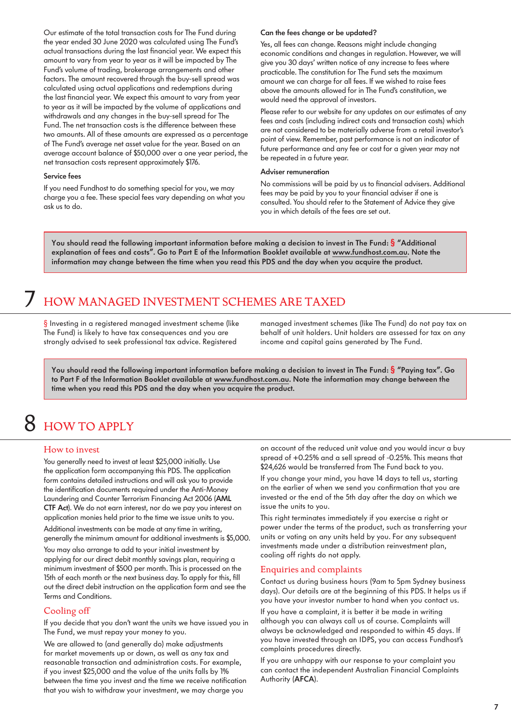<span id="page-6-0"></span>Our estimate of the total transaction costs for The Fund during the year ended 30 June 2020 was calculated using The Fund's actual transactions during the last financial year. We expect this amount to vary from year to year as it will be impacted by The Fund's volume of trading, brokerage arrangements and other factors. The amount recovered through the buy-sell spread was calculated using actual applications and redemptions during the last financial year. We expect this amount to vary from year to year as it will be impacted by the volume of applications and withdrawals and any changes in the buy-sell spread for The Fund. The net transaction costs is the difference between these two amounts. All of these amounts are expressed as a percentage of The Fund's average net asset value for the year. Based on an average account balance of \$50,000 over a one year period, the net transaction costs represent approximately \$176.

#### Service fees

If you need Fundhost to do something special for you, we may charge you a fee. These special fees vary depending on what you ask us to do.

#### Can the fees change or be updated?

Yes, all fees can change. Reasons might include changing economic conditions and changes in regulation. However, we will give you 30 days' written notice of any increase to fees where practicable. The constitution for The Fund sets the maximum amount we can charge for all fees. If we wished to raise fees above the amounts allowed for in The Fund's constitution, we would need the approval of investors.

Please refer to our website for any updates on our estimates of any fees and costs (including indirect costs and transaction costs) which are not considered to be materially adverse from a retail investor's point of view. Remember, past performance is not an indicator of future performance and any fee or cost for a given year may not be repeated in a future year.

#### Adviser remuneration

No commissions will be paid by us to financial advisers. Additional fees may be paid by you to your financial adviser if one is consulted. You should refer to the Statement of Advice they give you in which details of the fees are set out.

You should read the following important information before making a decision to invest in The Fund: § "Additional explanation of fees and costs". Go to Part E of the Information Booklet available at www.fundhost.com.au. Note the information may change between the time when you read this PDS and the day when you acquire the product.

# 7 HOW MANAGED INVESTMENT SCHEMES ARE TAXED

§ Investing in a registered managed investment scheme (like The Fund) is likely to have tax consequences and you are strongly advised to seek professional tax advice. Registered

managed investment schemes (like The Fund) do not pay tax on behalf of unit holders. Unit holders are assessed for tax on any income and capital gains generated by The Fund.

You should read the following important information before making a decision to invest in The Fund: § "Paying tax". Go to Part F of the Information Booklet available at www.fundhost.com.au. Note the information may change between the time when you read this PDS and the day when you acquire the product.

# 8 HOW TO APPLY

### How to invest

You generally need to invest at least \$25,000 initially. Use the application form accompanying this PDS. The application form contains detailed instructions and will ask you to provide the identification documents required under the Anti-Money Laundering and Counter Terrorism Financing Act 2006 (AML CTF Act). We do not earn interest, nor do we pay you interest on application monies held prior to the time we issue units to you.

Additional investments can be made at any time in writing, generally the minimum amount for additional investments is \$5,000.

You may also arrange to add to your initial investment by applying for our direct debit monthly savings plan, requiring a minimum investment of \$500 per month. This is processed on the 15th of each month or the next business day. To apply for this, fill out the direct debit instruction on the application form and see the Terms and Conditions.

### Cooling off

If you decide that you don't want the units we have issued you in The Fund, we must repay your money to you.

We are allowed to (and generally do) make adjustments for market movements up or down, as well as any tax and reasonable transaction and administration costs. For example, if you invest \$25,000 and the value of the units falls by 1% between the time you invest and the time we receive notification that you wish to withdraw your investment, we may charge you

on account of the reduced unit value and you would incur a buy spread of +0.25% and a sell spread of -0.25%. This means that \$24,626 would be transferred from The Fund back to you.

If you change your mind, you have 14 days to tell us, starting on the earlier of when we send you confirmation that you are invested or the end of the 5th day after the day on which we issue the units to you.

This right terminates immediately if you exercise a right or power under the terms of the product, such as transferring your units or voting on any units held by you. For any subsequent investments made under a distribution reinvestment plan, cooling off rights do not apply.

#### Enquiries and complaints

Contact us during business hours (9am to 5pm Sydney business days). Our details are at the beginning of this PDS. It helps us if you have your investor number to hand when you contact us.

If you have a complaint, it is better it be made in writing although you can always call us of course. Complaints will always be acknowledged and responded to within 45 days. If you have invested through an IDPS, you can access Fundhost's complaints procedures directly.

If you are unhappy with our response to your complaint you can contact the independent Australian Financial Complaints Authority (AFCA).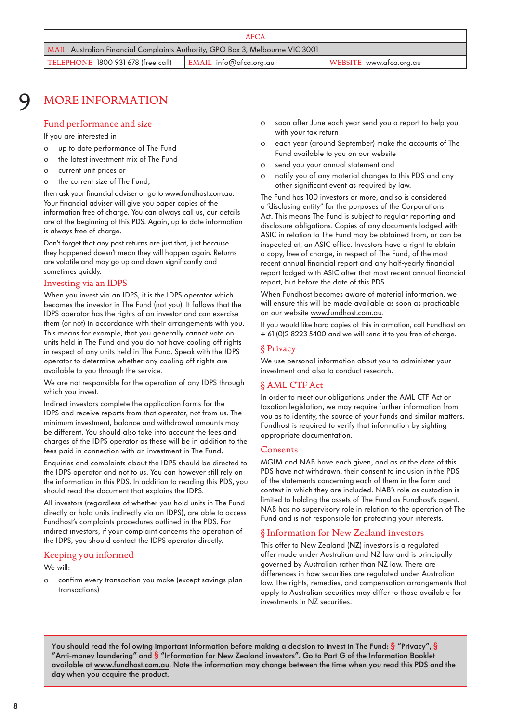# <span id="page-7-0"></span>9 MORE INFORMATION

# Fund performance and size

If you are interested in:

- o up to date performance of The Fund
- o the latest investment mix of The Fund
- o current unit prices or
- o the current size of The Fund,

then ask your financial adviser or go to [www.fundhost.com.au.](http://www.fundhost.com.au) Your financial adviser will give you paper copies of the information free of charge. You can always call us, our details are at the beginning of this PDS. Again, up to date information is always free of charge.

Don't forget that any past returns are just that, just because they happened doesn't mean they will happen again. Returns are volatile and may go up and down significantly and sometimes quickly.

### Investing via an IDPS

When you invest via an IDPS, it is the IDPS operator which becomes the investor in The Fund (not you). It follows that the IDPS operator has the rights of an investor and can exercise them (or not) in accordance with their arrangements with you. This means for example, that you generally cannot vote on units held in The Fund and you do not have cooling off rights in respect of any units held in The Fund. Speak with the IDPS operator to determine whether any cooling off rights are available to you through the service.

We are not responsible for the operation of any IDPS through which you invest.

Indirect investors complete the application forms for the IDPS and receive reports from that operator, not from us. The minimum investment, balance and withdrawal amounts may be different. You should also take into account the fees and charges of the IDPS operator as these will be in addition to the fees paid in connection with an investment in The Fund.

Enquiries and complaints about the IDPS should be directed to the IDPS operator and not to us. You can however still rely on the information in this PDS. In addition to reading this PDS, you should read the document that explains the IDPS.

All investors (regardless of whether you hold units in The Fund directly or hold units indirectly via an IDPS), are able to access Fundhost's complaints procedures outlined in the PDS. For indirect investors, if your complaint concerns the operation of the IDPS, you should contact the IDPS operator directly.

# Keeping you informed

We will:

o confirm every transaction you make (except savings plan transactions)

- o soon after June each year send you a report to help you with your tax return
- o each year (around September) make the accounts of The Fund available to you on our website
- o send you your annual statement and
- o notify you of any material changes to this PDS and any other significant event as required by law.

The Fund has 100 investors or more, and so is considered a "disclosing entity" for the purposes of the Corporations Act. This means The Fund is subject to regular reporting and disclosure obligations. Copies of any documents lodged with ASIC in relation to The Fund may be obtained from, or can be inspected at, an ASIC office. Investors have a right to obtain a copy, free of charge, in respect of The Fund, of the most recent annual financial report and any half-yearly financial report lodged with ASIC after that most recent annual financial report, but before the date of this PDS.

When Fundhost becomes aware of material information, we will ensure this will be made available as soon as practicable on our website www.fundhost.com.au.

If you would like hard copies of this information, call Fundhost on + 61 (0)2 8223 5400 and we will send it to you free of charge.

## § Privacy

We use personal information about you to administer your investment and also to conduct research.

# § AML CTF Act

In order to meet our obligations under the AML CTF Act or taxation legislation, we may require further information from you as to identity, the source of your funds and similar matters. Fundhost is required to verify that information by sighting appropriate documentation.

### Consents

MGIM and NAB have each given, and as at the date of this PDS have not withdrawn, their consent to inclusion in the PDS of the statements concerning each of them in the form and context in which they are included. NAB's role as custodian is limited to holding the assets of The Fund as Fundhost's agent. NAB has no supervisory role in relation to the operation of The Fund and is not responsible for protecting your interests.

# § Information for New Zealand investors

This offer to New Zealand (NZ) investors is a regulated offer made under Australian and NZ law and is principally governed by Australian rather than NZ law. There are differences in how securities are regulated under Australian law. The rights, remedies, and compensation arrangements that apply to Australian securities may differ to those available for investments in NZ securities.

You should read the following important information before making a decision to invest in The Fund:  $\frac{1}{3}$  "Privacy",  $\frac{1}{3}$ "Anti-money laundering" and § "Information for New Zealand investors". Go to Part G of the Information Booklet available at www.fundhost.com.au. Note the information may change between the time when you read this PDS and the day when you acquire the product.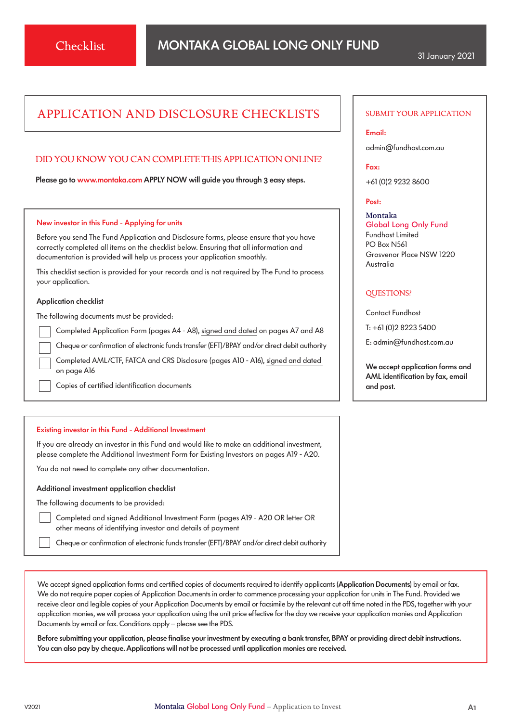# APPLICATION AND DISCLOSURE CHECKLISTS

# DID YOU KNOW YOU CAN COMPLETE THIS APPLICATION ONLINE?

Please go to [www.monta](http://www.montaka.com)ka.com APPLY NOW will guide you through 3 easy steps.

#### New investor in this Fund - Applying for units

Before you send The Fund Application and Disclosure forms, please ensure that you have correctly completed all items on the checklist below. Ensuring that all information and documentation is provided will help us process your application smoothly.

This checklist section is provided for your records and is not required by The Fund to process your application.

#### Application checklist

The following documents must be provided:

Completed Application Form (pages A4 - A8), signed and dated on pages A7 and A8

Cheque or confirmation of electronic funds transfer (EFT)/BPAY and/or direct debit authority

 Completed AML/CTF, FATCA and CRS Disclosure (pages A10 - A16), signed and dated on page A16

Copies of certified identification documents

#### Existing investor in this Fund - Additional Investment

If you are already an investor in this Fund and would like to make an additional investment, please complete the Additional Investment Form for Existing Investors on pages A19 - A20.

You do not need to complete any other documentation.

#### Additional investment application checklist

The following documents to be provided:

Completed and signed Additional Investment Form (pages A19 - A20 OR letter OR other means of identifying investor and details of payment

Cheque or confirmation of electronic funds transfer (EFT)/BPAY and/or direct debit authority

We accept signed application forms and certified copies of documents required to identify applicants (Application Documents) by email or fax. We do not require paper copies of Application Documents in order to commence processing your application for units in The Fund. Provided we receive clear and legible copies of your Application Documents by email or facsimile by the relevant cut off time noted in the PDS, together with your application monies, we will process your application using the unit price effective for the day we receive your application monies and Application Documents by email or fax. Conditions apply – please see the PDS.

Before submitting your application, please finalise your investment by executing a bank transfer, BPAY or providing direct debit instructions. You can also pay by cheque. Applications will not be processed until application monies are received.

#### SUBMIT YOUR APPLICATION

#### Email:

[admin@fundhost.com.au](mailto:admin%40fundhost.com.au?subject=)

Fax:

+61 (0)2 9232 8600

#### Post:

Montaka Global Long Only Fund Fundhost Limited PO Box N561 Grosvenor Place NSW 1220 Australia

### QUESTIONS?

Contact Fundhost

T: +61 (0)2 8223 5400

E: [admin@fundhost.com.au](mailto:admin%40fundhost.com.au?subject=)

We accept application forms and AML identification by fax, email and post.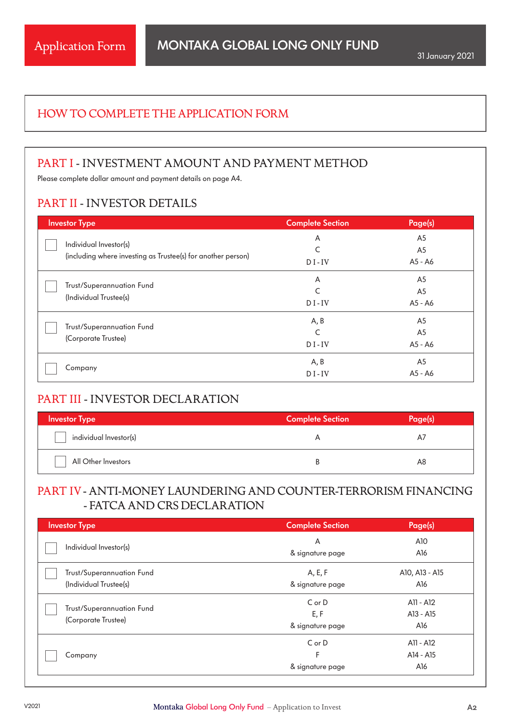# HOW TO COMPLETE THE APPLICATION FORM

# PART I - INVESTMENT AMOUNT AND PAYMENT METHOD

Please complete dollar amount and payment details on page A4.

# PART II - INVESTOR DETAILS

| <b>Investor Type</b>                                         | <b>Complete Section</b> | Page(s)        |
|--------------------------------------------------------------|-------------------------|----------------|
| Individual Investor(s)                                       | A                       | A <sub>5</sub> |
|                                                              | C                       | A5             |
| (including where investing as Trustee(s) for another person) | $DI$ -IV                | A5 - A6        |
|                                                              | A                       | A <sub>5</sub> |
| Trust/Superannuation Fund                                    | $\mathsf{C}$            | A <sub>5</sub> |
| (Individual Trustee(s)                                       | $DI$ -IV                | A5 - A6        |
|                                                              | A, B                    | A5             |
| Trust/Superannuation Fund                                    | $\mathsf{C}$            | A5             |
| (Corporate Trustee)                                          | $DI$ -IV                | A5 - A6        |
|                                                              | A, B                    | A <sub>5</sub> |
| Company                                                      | $DI$ -IV                | A5 - A6        |

# PART III - INVESTOR DECLARATION

| <b>Investor Type</b>   | <b>Complete Section</b> | $-100$ $\degree$ |
|------------------------|-------------------------|------------------|
| individual Investor(s) |                         |                  |
| All Other Investors    |                         | A8               |

# PART IV- ANTI-MONEY LAUNDERING AND COUNTER-TERRORISM FINANCING - FATCA AND CRS DECLARATION

| <b>Investor Type</b>      | <b>Complete Section</b> | Page(s)        |
|---------------------------|-------------------------|----------------|
|                           | A                       | A10            |
| Individual Investor(s)    | & signature page        | A16            |
| Trust/Superannuation Fund | A, E, F                 | A10, A13 - A15 |
| (Individual Trustee(s)    | & signature page        | A16            |
|                           | $C$ or $D$              | A11 - A12      |
| Trust/Superannuation Fund | E, F                    | A13 - A15      |
| (Corporate Trustee)       | & signature page        | A16            |
|                           | $C$ or $D$              | A11 - A12      |
| Company                   | F                       | A14 - A15      |
|                           | & signature page        | A16            |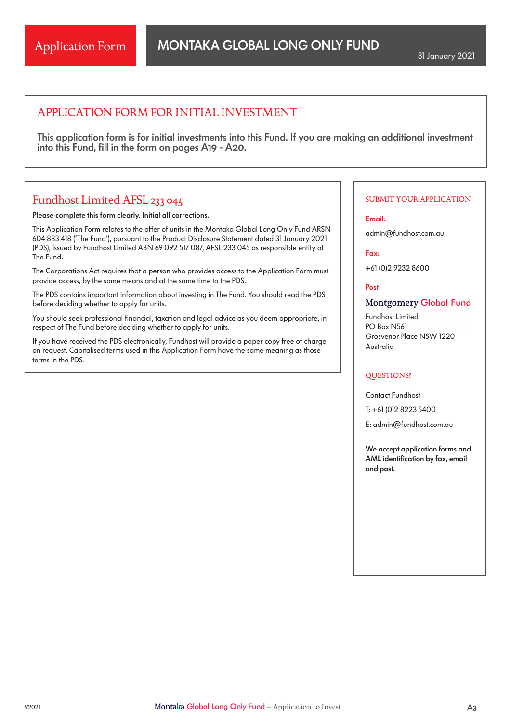# APPLICATION FORM FOR INITIAL INVESTMENT

This application form is for initial investments into this Fund. If you are making an additional investment into this Fund, fill in the form on pages A19 - A20.

# Fundhost Limited AFSL 233 045

Please complete this form clearly. Initial all corrections.

This Application Form relates to the offer of units in the Montaka Global Long Only Fund ARSN 604 883 418 ('The Fund'), pursuant to the Product Disclosure Statement dated 31 January 2021 (PDS), issued by Fundhost Limited ABN 69 092 517 087, AFSL 233 045 as responsible entity of The Fund.

The Corporations Act requires that a person who provides access to the Application Form must provide access, by the same means and at the same time to the PDS.

The PDS contains important information about investing in The Fund. You should read the PDS before deciding whether to apply for units.

You should seek professional financial, taxation and legal advice as you deem appropriate, in respect of The Fund before deciding whether to apply for units.

If you have received the PDS electronically, Fundhost will provide a paper copy free of charge on request. Capitalised terms used in this Application Form have the same meaning as those terms in the PDS.

### SUBMIT YOUR APPLICATION

Email:

admin@fundhost.com.au

Fax:

+61 (0)2 9232 8600

Post:

## **Montgomery Global Fund**

Fundhost Limited PO Box N561 Grosvenor Place NSW 1220 Australia

#### QUESTIONS?

Contact Fundhost T: +61 (0)2 8223 5400

E: admin@fundhost.com.au

We accept application forms and AML identification by fax, email and post.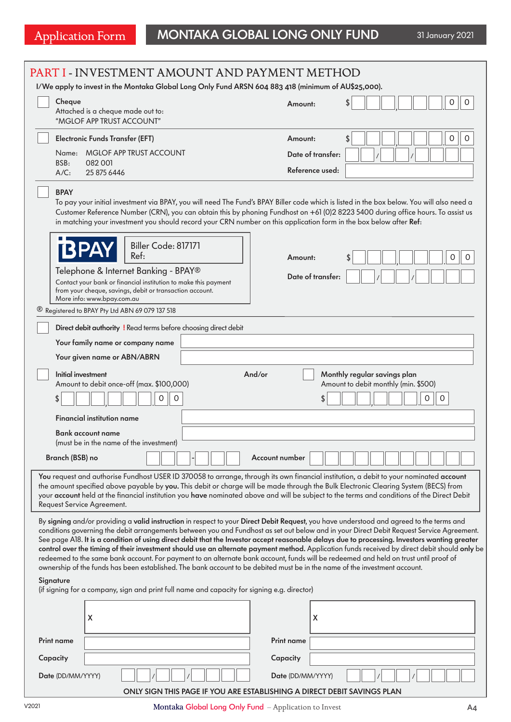# Application Form MONTAKA GLOBAL LONG ONLY FUND 31 January 2021

|          | PART I - INVESTMENT AMOUNT AND PAYMENT METHOD<br>I/We apply to invest in the Montaka Global Long Only Fund ARSN 604 883 418 (minimum of AU\$25,000).                                                                                                                                                                                                                                                                                                                                                                                                                                                                                                                                                                                                                                                                                                          |                   |                                                                                          |
|----------|---------------------------------------------------------------------------------------------------------------------------------------------------------------------------------------------------------------------------------------------------------------------------------------------------------------------------------------------------------------------------------------------------------------------------------------------------------------------------------------------------------------------------------------------------------------------------------------------------------------------------------------------------------------------------------------------------------------------------------------------------------------------------------------------------------------------------------------------------------------|-------------------|------------------------------------------------------------------------------------------|
|          | Cheque<br>Attached is a cheque made out to:<br>"MGLOF APP TRUST ACCOUNT"                                                                                                                                                                                                                                                                                                                                                                                                                                                                                                                                                                                                                                                                                                                                                                                      | Amount:           | \$<br>0<br>0                                                                             |
|          | <b>Electronic Funds Transfer (EFT)</b>                                                                                                                                                                                                                                                                                                                                                                                                                                                                                                                                                                                                                                                                                                                                                                                                                        | Amount:           | 0<br>\$                                                                                  |
|          | <b>MGLOF APP TRUST ACCOUNT</b><br>Name:                                                                                                                                                                                                                                                                                                                                                                                                                                                                                                                                                                                                                                                                                                                                                                                                                       | Date of transfer: |                                                                                          |
|          | BSB:<br>082 001<br>$A/C$ :<br>25 875 6446                                                                                                                                                                                                                                                                                                                                                                                                                                                                                                                                                                                                                                                                                                                                                                                                                     | Reference used:   |                                                                                          |
|          | <b>BPAY</b><br>To pay your initial investment via BPAY, you will need The Fund's BPAY Biller code which is listed in the box below. You will also need a<br>Customer Reference Number (CRN), you can obtain this by phoning Fundhost on +61 (0)2 8223 5400 during office hours. To assist us<br>in matching your investment you should record your CRN number on this application form in the box below after Ref:                                                                                                                                                                                                                                                                                                                                                                                                                                            |                   |                                                                                          |
|          | Biller Code: 817171<br>Ref:                                                                                                                                                                                                                                                                                                                                                                                                                                                                                                                                                                                                                                                                                                                                                                                                                                   | Amount:           | 0<br>0                                                                                   |
|          | Telephone & Internet Banking - BPAY®                                                                                                                                                                                                                                                                                                                                                                                                                                                                                                                                                                                                                                                                                                                                                                                                                          | Date of transfer: |                                                                                          |
|          | Contact your bank or financial institution to make this payment<br>from your cheque, savings, debit or transaction account.<br>More info: www.bpay.com.au                                                                                                                                                                                                                                                                                                                                                                                                                                                                                                                                                                                                                                                                                                     |                   |                                                                                          |
|          | <sup>®</sup> Registered to BPAY Pty Ltd ABN 69 079 137 518                                                                                                                                                                                                                                                                                                                                                                                                                                                                                                                                                                                                                                                                                                                                                                                                    |                   |                                                                                          |
|          | Direct debit authority ! Read terms before choosing direct debit                                                                                                                                                                                                                                                                                                                                                                                                                                                                                                                                                                                                                                                                                                                                                                                              |                   |                                                                                          |
|          | Your family name or company name                                                                                                                                                                                                                                                                                                                                                                                                                                                                                                                                                                                                                                                                                                                                                                                                                              |                   |                                                                                          |
|          | Your given name or ABN/ABRN                                                                                                                                                                                                                                                                                                                                                                                                                                                                                                                                                                                                                                                                                                                                                                                                                                   |                   |                                                                                          |
|          | And/or<br>Initial investment<br>Amount to debit once-off (max. \$100,000)<br>$\mathsf O$<br>0<br>\$                                                                                                                                                                                                                                                                                                                                                                                                                                                                                                                                                                                                                                                                                                                                                           | \$                | Monthly regular savings plan<br>Amount to debit monthly (min. \$500)<br>0<br>$\mathbf 0$ |
|          | <b>Financial institution name</b>                                                                                                                                                                                                                                                                                                                                                                                                                                                                                                                                                                                                                                                                                                                                                                                                                             |                   |                                                                                          |
|          | Bank account name                                                                                                                                                                                                                                                                                                                                                                                                                                                                                                                                                                                                                                                                                                                                                                                                                                             |                   |                                                                                          |
|          | (must be in the name of the investment)                                                                                                                                                                                                                                                                                                                                                                                                                                                                                                                                                                                                                                                                                                                                                                                                                       |                   |                                                                                          |
|          | Branch (BSB) no                                                                                                                                                                                                                                                                                                                                                                                                                                                                                                                                                                                                                                                                                                                                                                                                                                               | Account number    |                                                                                          |
|          | You request and authorise Fundhost USER ID 370058 to arrange, through its own financial institution, a debit to your nominated account<br>the amount specified above payable by you. This debit or charge will be made through the Bulk Electronic Clearing System (BECS) from<br>your account held at the financial institution you have nominated above and will be subject to the terms and conditions of the Direct Debit<br>Request Service Agreement.                                                                                                                                                                                                                                                                                                                                                                                                   |                   |                                                                                          |
|          | By signing and/or providing a valid instruction in respect to your Direct Debit Request, you have understood and agreed to the terms and<br>conditions governing the debit arrangements between you and Fundhost as set out below and in your Direct Debit Request Service Agreement.<br>See page A18. It is a condition of using direct debit that the Investor accept reasonable delays due to processing. Investors wanting greater<br>control over the timing of their investment should use an alternate payment method. Application funds received by direct debit should only be<br>redeemed to the same bank account. For payment to an alternate bank account, funds will be redeemed and held on trust until proof of<br>ownership of the funds has been established. The bank account to be debited must be in the name of the investment account. |                   |                                                                                          |
|          | Signature<br>(if signing for a company, sign and print full name and capacity for signing e.g. director)                                                                                                                                                                                                                                                                                                                                                                                                                                                                                                                                                                                                                                                                                                                                                      |                   |                                                                                          |
|          | X                                                                                                                                                                                                                                                                                                                                                                                                                                                                                                                                                                                                                                                                                                                                                                                                                                                             | X                 |                                                                                          |
|          | <b>Print name</b>                                                                                                                                                                                                                                                                                                                                                                                                                                                                                                                                                                                                                                                                                                                                                                                                                                             | Print name        |                                                                                          |
| Capacity |                                                                                                                                                                                                                                                                                                                                                                                                                                                                                                                                                                                                                                                                                                                                                                                                                                                               | Capacity          |                                                                                          |
|          | Date (DD/MM/YYYY)                                                                                                                                                                                                                                                                                                                                                                                                                                                                                                                                                                                                                                                                                                                                                                                                                                             | Date (DD/MM/YYYY) |                                                                                          |
|          | ONLY SIGN THIS PAGE IF YOU ARE ESTABLISHING A DIRECT DEBIT SAVINGS PLAN                                                                                                                                                                                                                                                                                                                                                                                                                                                                                                                                                                                                                                                                                                                                                                                       |                   |                                                                                          |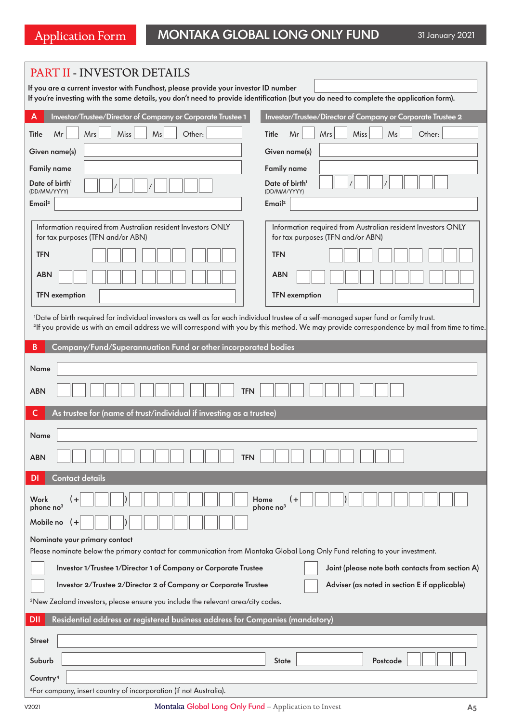| PART II - INVESTOR DETAILS                                                                                                                                                                                                     |                                                                                                                                                           |  |  |
|--------------------------------------------------------------------------------------------------------------------------------------------------------------------------------------------------------------------------------|-----------------------------------------------------------------------------------------------------------------------------------------------------------|--|--|
| If you are a current investor with Fundhost, please provide your investor ID number<br>If you're investing with the same details, you don't need to provide identification (but you do need to complete the application form). |                                                                                                                                                           |  |  |
| Investor/Trustee/Director of Company or Corporate Trustee 1<br>А                                                                                                                                                               | Investor/Trustee/Director of Company or Corporate Trustee 2                                                                                               |  |  |
| Title<br>Mr<br>Mrs<br>Miss<br>Ms<br>Other:                                                                                                                                                                                     | Other:<br>Title<br>Mr<br>Mrs<br>Miss<br>Ms                                                                                                                |  |  |
| Given name(s)                                                                                                                                                                                                                  | Given name(s)                                                                                                                                             |  |  |
| <b>Family name</b>                                                                                                                                                                                                             | <b>Family name</b>                                                                                                                                        |  |  |
| Date of birth <sup>1</sup><br>(DD/MM/YYYY)                                                                                                                                                                                     | Date of birth <sup>1</sup><br>(DD/MM/YYYY)                                                                                                                |  |  |
| Email <sup>2</sup>                                                                                                                                                                                                             | Email <sup>2</sup>                                                                                                                                        |  |  |
| Information required from Australian resident Investors ONLY<br>for tax purposes (TFN and/or ABN)<br><b>TFN</b>                                                                                                                | Information required from Australian resident Investors ONLY<br>for tax purposes (TFN and/or ABN)<br><b>TFN</b>                                           |  |  |
|                                                                                                                                                                                                                                |                                                                                                                                                           |  |  |
| <b>ABN</b><br><b>TFN</b> exemption                                                                                                                                                                                             | <b>ABN</b><br><b>TFN</b> exemption                                                                                                                        |  |  |
|                                                                                                                                                                                                                                |                                                                                                                                                           |  |  |
| 'Date of birth required for individual investors as well as for each individual trustee of a self-managed super fund or family trust.                                                                                          | <sup>2</sup> If you provide us with an email address we will correspond with you by this method. We may provide correspondence by mail from time to time. |  |  |
| $\, {\bf B}$<br>Company/Fund/Superannuation Fund or other incorporated bodies                                                                                                                                                  |                                                                                                                                                           |  |  |
| Name                                                                                                                                                                                                                           |                                                                                                                                                           |  |  |
| <b>ABN</b><br><b>TFN</b>                                                                                                                                                                                                       |                                                                                                                                                           |  |  |
| As trustee for (name of trust/individual if investing as a trustee)<br>C                                                                                                                                                       |                                                                                                                                                           |  |  |
| Name                                                                                                                                                                                                                           |                                                                                                                                                           |  |  |
| <b>ABN</b><br><b>TFN</b>                                                                                                                                                                                                       |                                                                                                                                                           |  |  |
| Contact details<br>DI                                                                                                                                                                                                          |                                                                                                                                                           |  |  |
| Work<br>$\ddot{}$<br>phone no <sup>3</sup><br>Mobile no                                                                                                                                                                        | Home<br>phone no <sup>3</sup>                                                                                                                             |  |  |
| Nominate your primary contact                                                                                                                                                                                                  |                                                                                                                                                           |  |  |
| Please nominate below the primary contact for communication from Montaka Global Long Only Fund relating to your investment.                                                                                                    |                                                                                                                                                           |  |  |
| Investor 1/Trustee 1/Director 1 of Company or Corporate Trustee                                                                                                                                                                | Joint (please note both contacts from section A)                                                                                                          |  |  |
| Investor 2/Trustee 2/Director 2 of Company or Corporate Trustee                                                                                                                                                                | Adviser (as noted in section E if applicable)                                                                                                             |  |  |
| <sup>3</sup> New Zealand investors, please ensure you include the relevant area/city codes.                                                                                                                                    |                                                                                                                                                           |  |  |
| Residential address or registered business address for Companies (mandatory)<br><b>DII</b>                                                                                                                                     |                                                                                                                                                           |  |  |
| <b>Street</b>                                                                                                                                                                                                                  |                                                                                                                                                           |  |  |
| Suburb                                                                                                                                                                                                                         | <b>State</b><br>Postcode                                                                                                                                  |  |  |
| Country <sup>4</sup>                                                                                                                                                                                                           |                                                                                                                                                           |  |  |
| <sup>4</sup> For company, insert country of incorporation (if not Australia).                                                                                                                                                  |                                                                                                                                                           |  |  |

V2021 Montaka Global Long Only Fund – Application to Invest A5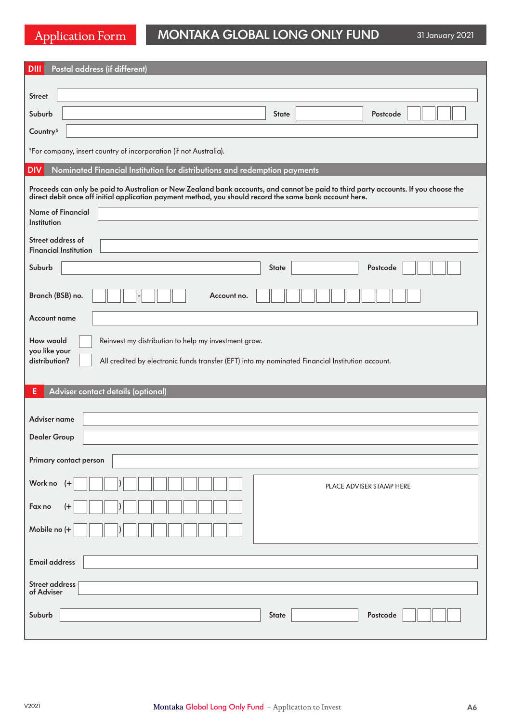# Application Form MONTAKA GLOBAL LONG ONLY FUND

31 January 2021

| Postal address (if different)<br><b>DIII</b>                                                                                                                                                                                                   |  |  |  |  |
|------------------------------------------------------------------------------------------------------------------------------------------------------------------------------------------------------------------------------------------------|--|--|--|--|
| <b>Street</b>                                                                                                                                                                                                                                  |  |  |  |  |
| Suburb<br><b>State</b><br>Postcode                                                                                                                                                                                                             |  |  |  |  |
| Country <sup>5</sup>                                                                                                                                                                                                                           |  |  |  |  |
|                                                                                                                                                                                                                                                |  |  |  |  |
| <sup>5</sup> For company, insert country of incorporation (if not Australia).                                                                                                                                                                  |  |  |  |  |
| Nominated Financial Institution for distributions and redemption payments<br><b>DIV</b>                                                                                                                                                        |  |  |  |  |
| Proceeds can only be paid to Australian or New Zealand bank accounts, and cannot be paid to third party accounts. If you choose the<br>direct debit once off initial application payment method, you should record the same bank account here. |  |  |  |  |
| <b>Name of Financial</b>                                                                                                                                                                                                                       |  |  |  |  |
| Institution                                                                                                                                                                                                                                    |  |  |  |  |
| Street address of<br><b>Financial Institution</b>                                                                                                                                                                                              |  |  |  |  |
| Suburb<br><b>State</b><br>Postcode                                                                                                                                                                                                             |  |  |  |  |
|                                                                                                                                                                                                                                                |  |  |  |  |
| Branch (BSB) no.<br>Account no.                                                                                                                                                                                                                |  |  |  |  |
| <b>Account name</b>                                                                                                                                                                                                                            |  |  |  |  |
| How would<br>Reinvest my distribution to help my investment grow.                                                                                                                                                                              |  |  |  |  |
| you like your<br>distribution?<br>All credited by electronic funds transfer (EFT) into my nominated Financial Institution account.                                                                                                             |  |  |  |  |
|                                                                                                                                                                                                                                                |  |  |  |  |
| Adviser contact details (optional)<br>Е                                                                                                                                                                                                        |  |  |  |  |
| Adviser name                                                                                                                                                                                                                                   |  |  |  |  |
| <b>Dealer Group</b>                                                                                                                                                                                                                            |  |  |  |  |
|                                                                                                                                                                                                                                                |  |  |  |  |
| Primary contact person                                                                                                                                                                                                                         |  |  |  |  |
| Work no (+<br>PLACE ADVISER STAMP HERE                                                                                                                                                                                                         |  |  |  |  |
| Fax no<br>$^{(+)}$                                                                                                                                                                                                                             |  |  |  |  |
|                                                                                                                                                                                                                                                |  |  |  |  |
| Mobile no (+                                                                                                                                                                                                                                   |  |  |  |  |
| <b>Email address</b>                                                                                                                                                                                                                           |  |  |  |  |
|                                                                                                                                                                                                                                                |  |  |  |  |
| <b>Street address</b><br>of Adviser                                                                                                                                                                                                            |  |  |  |  |
| Suburb<br>Postcode<br><b>State</b>                                                                                                                                                                                                             |  |  |  |  |
|                                                                                                                                                                                                                                                |  |  |  |  |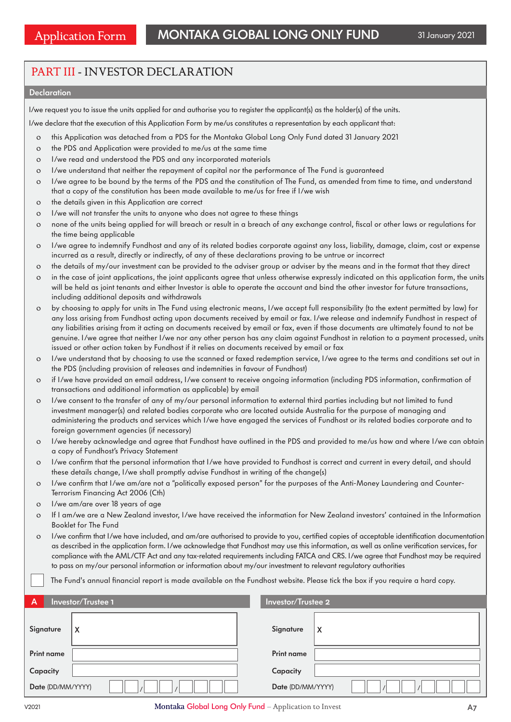# PART III - INVESTOR DECLARATION

### **Declaration**

I/we request you to issue the units applied for and authorise you to register the applicant(s) as the holder(s) of the units.

I/we declare that the execution of this Application Form by me/us constitutes a representation by each applicant that:

- o this Application was detached from a PDS for the Montaka Global Long Only Fund dated 31 January 2021
- o the PDS and Application were provided to me/us at the same time
- o I/we read and understood the PDS and any incorporated materials
- o I/we understand that neither the repayment of capital nor the performance of The Fund is guaranteed
- o I/we agree to be bound by the terms of the PDS and the constitution of The Fund, as amended from time to time, and understand that a copy of the constitution has been made available to me/us for free if I/we wish
- o the details given in this Application are correct
- o I/we will not transfer the units to anyone who does not agree to these things
- o none of the units being applied for will breach or result in a breach of any exchange control, fiscal or other laws or regulations for the time being applicable
- o I/we agree to indemnify Fundhost and any of its related bodies corporate against any loss, liability, damage, claim, cost or expense incurred as a result, directly or indirectly, of any of these declarations proving to be untrue or incorrect
- o the details of my/our investment can be provided to the adviser group or adviser by the means and in the format that they direct
- o in the case of joint applications, the joint applicants agree that unless otherwise expressly indicated on this application form, the units will be held as joint tenants and either Investor is able to operate the account and bind the other investor for future transactions, including additional deposits and withdrawals
- o by choosing to apply for units in The Fund using electronic means, I/we accept full responsibility (to the extent permitted by law) for any loss arising from Fundhost acting upon documents received by email or fax. I/we release and indemnify Fundhost in respect of any liabilities arising from it acting on documents received by email or fax, even if those documents are ultimately found to not be genuine. I/we agree that neither I/we nor any other person has any claim against Fundhost in relation to a payment processed, units issued or other action taken by Fundhost if it relies on documents received by email or fax
- o I/we understand that by choosing to use the scanned or faxed redemption service, I/we agree to the terms and conditions set out in the PDS (including provision of releases and indemnities in favour of Fundhost)
- o if I/we have provided an email address, I/we consent to receive ongoing information (including PDS information, confirmation of transactions and additional information as applicable) by email
- o I/we consent to the transfer of any of my/our personal information to external third parties including but not limited to fund investment manager(s) and related bodies corporate who are located outside Australia for the purpose of managing and administering the products and services which I/we have engaged the services of Fundhost or its related bodies corporate and to foreign government agencies (if necessary)
- o I/we hereby acknowledge and agree that Fundhost have outlined in the PDS and provided to me/us how and where I/we can obtain a copy of Fundhost's Privacy Statement
- o I/we confirm that the personal information that I/we have provided to Fundhost is correct and current in every detail, and should these details change, I/we shall promptly advise Fundhost in writing of the change(s)
- o I/we confirm that I/we am/are not a "politically exposed person" for the purposes of the Anti-Money Laundering and Counter-Terrorism Financing Act 2006 (Cth)
- o I/we am/are over 18 years of age
- o If I am/we are a New Zealand investor, I/we have received the information for New Zealand investors' contained in the Information Booklet for The Fund
- o I/we confirm that I/we have included, and am/are authorised to provide to you, certified copies of acceptable identification documentation as described in the application form. I/we acknowledge that Fundhost may use this information, as well as online verification services, for compliance with the AML/CTF Act and any tax-related requirements including FATCA and CRS. I/we agree that Fundhost may be required to pass on my/our personal information or information about my/our investment to relevant regulatory authorities
	- The Fund's annual financial report is made available on the Fundhost website. Please tick the box if you require a hard copy.

| A                 | Investor/Trustee 1 | Investor/Trustee 2 |   |
|-------------------|--------------------|--------------------|---|
| Signature         | x                  | Signature          | X |
| <b>Print name</b> |                    | Print name         |   |
| Capacity          |                    | Capacity           |   |
| Date (DD/MM/YYYY) |                    | Date (DD/MM/YYYY)  |   |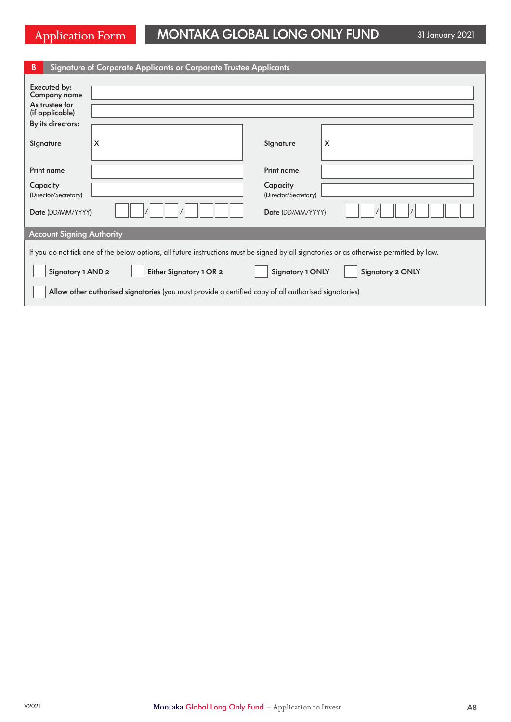# Application Form MONTAKA GLOBAL LONG ONLY FUND 31 January 2021

| В                                                                                                                                        | Signature of Corporate Applicants or Corporate Trustee Applicants |                      |   |  |
|------------------------------------------------------------------------------------------------------------------------------------------|-------------------------------------------------------------------|----------------------|---|--|
| Executed by:<br><b>Company name</b><br>As trustee for<br>(if applicable)                                                                 |                                                                   |                      |   |  |
| By its directors:                                                                                                                        |                                                                   |                      |   |  |
| Signature                                                                                                                                | X                                                                 | Signature            | X |  |
| <b>Print name</b>                                                                                                                        |                                                                   | <b>Print name</b>    |   |  |
| Capacity                                                                                                                                 |                                                                   | Capacity             |   |  |
| (Director/Secretary)                                                                                                                     |                                                                   | (Director/Secretary) |   |  |
| Date (DD/MM/YYYY)<br>Date (DD/MM/YYYY)                                                                                                   |                                                                   |                      |   |  |
| <b>Account Signing Authority</b>                                                                                                         |                                                                   |                      |   |  |
| If you do not tick one of the below options, all future instructions must be signed by all signatories or as otherwise permitted by law. |                                                                   |                      |   |  |
| <b>Signatory 1 ONLY</b><br>Signatory 1 AND 2<br>Either Signatory 1 OR 2<br><b>Signatory 2 ONLY</b>                                       |                                                                   |                      |   |  |
| Allow other authorised signatories (you must provide a certified copy of all authorised signatories)                                     |                                                                   |                      |   |  |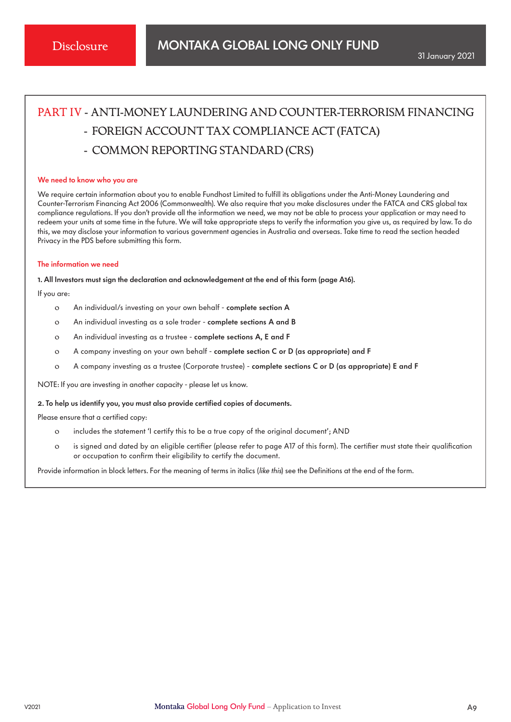# PART IV - ANTI-MONEY LAUNDERING AND COUNTER-TERRORISM FINANCING

- FOREIGN ACCOUNT TAX COMPLIANCE ACT (FATCA)
- COMMON REPORTING STANDARD (CRS)

#### We need to know who you are

We require certain information about you to enable Fundhost Limited to fulfill its obligations under the Anti-Money Laundering and Counter-Terrorism Financing Act 2006 (Commonwealth). We also require that you make disclosures under the FATCA and CRS global tax compliance regulations. If you don't provide all the information we need, we may not be able to process your application or may need to redeem your units at some time in the future. We will take appropriate steps to verify the information you give us, as required by law. To do this, we may disclose your information to various government agencies in Australia and overseas. Take time to read the section headed Privacy in the PDS before submitting this form.

### The information we need

1. All Investors must sign the declaration and acknowledgement at the end of this form (page A16).

If you are:

- o An individual/s investing on your own behalf complete section A
- o An individual investing as a sole trader complete sections A and B
- o An individual investing as a trustee complete sections A, E and F
- o A company investing on your own behalf complete section C or D (as appropriate) and F
- o A company investing as a trustee (Corporate trustee) complete sections C or D (as appropriate) E and F

NOTE: If you are investing in another capacity - please let us know.

### 2. To help us identify you, you must also provide certified copies of documents.

Please ensure that a certified copy:

- o includes the statement 'I certify this to be a true copy of the original document'; AND
- o is signed and dated by an eligible certifier (please refer to page A17 of this form). The certifier must state their qualification or occupation to confirm their eligibility to certify the document.

Provide information in block letters. For the meaning of terms in italics (like this) see the Definitions at the end of the form.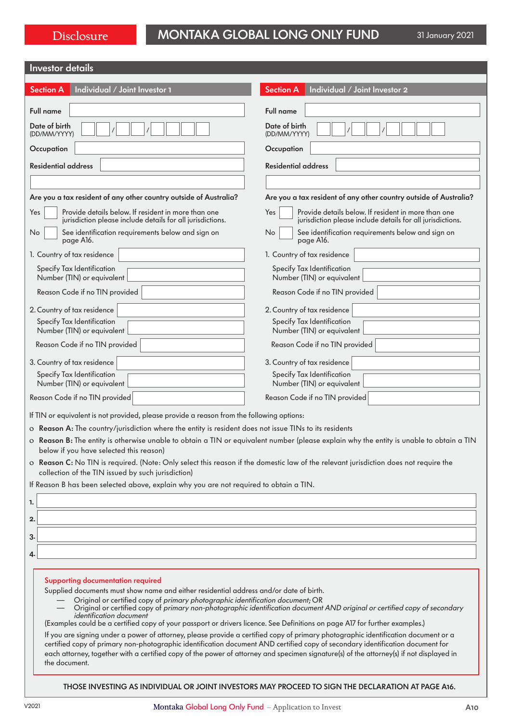| <b>Investor</b> details |  |
|-------------------------|--|
|-------------------------|--|

| <b>INVESION GETAILS</b>                                                                                                                                                                                                                                                                                                                                                                                                                                                                                                                                                                                                                                                                                                                                                                                                                                                                                                                                 |                                                                                                                                          |  |  |
|---------------------------------------------------------------------------------------------------------------------------------------------------------------------------------------------------------------------------------------------------------------------------------------------------------------------------------------------------------------------------------------------------------------------------------------------------------------------------------------------------------------------------------------------------------------------------------------------------------------------------------------------------------------------------------------------------------------------------------------------------------------------------------------------------------------------------------------------------------------------------------------------------------------------------------------------------------|------------------------------------------------------------------------------------------------------------------------------------------|--|--|
| <b>Section A</b><br>Individual / Joint Investor 1                                                                                                                                                                                                                                                                                                                                                                                                                                                                                                                                                                                                                                                                                                                                                                                                                                                                                                       | <b>Section A</b><br>Individual / Joint Investor 2                                                                                        |  |  |
| <b>Full name</b>                                                                                                                                                                                                                                                                                                                                                                                                                                                                                                                                                                                                                                                                                                                                                                                                                                                                                                                                        | Full name                                                                                                                                |  |  |
| Date of birth<br>(DD/MM/YYYY)                                                                                                                                                                                                                                                                                                                                                                                                                                                                                                                                                                                                                                                                                                                                                                                                                                                                                                                           | Date of birth<br>(DD/MM/YYYY)                                                                                                            |  |  |
| Occupation                                                                                                                                                                                                                                                                                                                                                                                                                                                                                                                                                                                                                                                                                                                                                                                                                                                                                                                                              | Occupation                                                                                                                               |  |  |
| <b>Residential address</b>                                                                                                                                                                                                                                                                                                                                                                                                                                                                                                                                                                                                                                                                                                                                                                                                                                                                                                                              | <b>Residential address</b>                                                                                                               |  |  |
|                                                                                                                                                                                                                                                                                                                                                                                                                                                                                                                                                                                                                                                                                                                                                                                                                                                                                                                                                         |                                                                                                                                          |  |  |
| Are you a tax resident of any other country outside of Australia?                                                                                                                                                                                                                                                                                                                                                                                                                                                                                                                                                                                                                                                                                                                                                                                                                                                                                       | Are you a tax resident of any other country outside of Australia?                                                                        |  |  |
| Provide details below. If resident in more than one<br>Yes<br>jurisdiction please include details for all jurisdictions.                                                                                                                                                                                                                                                                                                                                                                                                                                                                                                                                                                                                                                                                                                                                                                                                                                | Provide details below. If resident in more than one<br>Yes<br>jurisdiction please include details for all jurisdictions.                 |  |  |
| See identification requirements below and sign on<br>No<br>page A16.                                                                                                                                                                                                                                                                                                                                                                                                                                                                                                                                                                                                                                                                                                                                                                                                                                                                                    | No<br>See identification requirements below and sign on<br>page A16.                                                                     |  |  |
| 1. Country of tax residence                                                                                                                                                                                                                                                                                                                                                                                                                                                                                                                                                                                                                                                                                                                                                                                                                                                                                                                             | 1. Country of tax residence                                                                                                              |  |  |
| Specify Tax Identification<br>Number (TIN) or equivalent                                                                                                                                                                                                                                                                                                                                                                                                                                                                                                                                                                                                                                                                                                                                                                                                                                                                                                | Specify Tax Identification<br>Number (TIN) or equivalent                                                                                 |  |  |
| Reason Code if no TIN provided                                                                                                                                                                                                                                                                                                                                                                                                                                                                                                                                                                                                                                                                                                                                                                                                                                                                                                                          | Reason Code if no TIN provided                                                                                                           |  |  |
| 2. Country of tax residence                                                                                                                                                                                                                                                                                                                                                                                                                                                                                                                                                                                                                                                                                                                                                                                                                                                                                                                             | 2. Country of tax residence                                                                                                              |  |  |
| Specify Tax Identification<br>Number (TIN) or equivalent                                                                                                                                                                                                                                                                                                                                                                                                                                                                                                                                                                                                                                                                                                                                                                                                                                                                                                | Specify Tax Identification<br>Number (TIN) or equivalent                                                                                 |  |  |
| Reason Code if no TIN provided                                                                                                                                                                                                                                                                                                                                                                                                                                                                                                                                                                                                                                                                                                                                                                                                                                                                                                                          | Reason Code if no TIN provided                                                                                                           |  |  |
| 3. Country of tax residence                                                                                                                                                                                                                                                                                                                                                                                                                                                                                                                                                                                                                                                                                                                                                                                                                                                                                                                             | 3. Country of tax residence                                                                                                              |  |  |
| Specify Tax Identification<br>Number (TIN) or equivalent                                                                                                                                                                                                                                                                                                                                                                                                                                                                                                                                                                                                                                                                                                                                                                                                                                                                                                | Specify Tax Identification<br>Number (TIN) or equivalent                                                                                 |  |  |
| Reason Code if no TIN provided                                                                                                                                                                                                                                                                                                                                                                                                                                                                                                                                                                                                                                                                                                                                                                                                                                                                                                                          | Reason Code if no TIN provided                                                                                                           |  |  |
| If TIN or equivalent is not provided, please provide a reason from the following options:                                                                                                                                                                                                                                                                                                                                                                                                                                                                                                                                                                                                                                                                                                                                                                                                                                                               |                                                                                                                                          |  |  |
| o Reason A: The country/jurisdiction where the entity is resident does not issue TINs to its residents                                                                                                                                                                                                                                                                                                                                                                                                                                                                                                                                                                                                                                                                                                                                                                                                                                                  |                                                                                                                                          |  |  |
| below if you have selected this reason)                                                                                                                                                                                                                                                                                                                                                                                                                                                                                                                                                                                                                                                                                                                                                                                                                                                                                                                 | o Reason B: The entity is otherwise unable to obtain a TIN or equivalent number (please explain why the entity is unable to obtain a TIN |  |  |
| o Reason C: No TIN is required. (Note: Only select this reason if the domestic law of the relevant jurisdiction does not require the<br>collection of the TIN issued by such jurisdiction)                                                                                                                                                                                                                                                                                                                                                                                                                                                                                                                                                                                                                                                                                                                                                              |                                                                                                                                          |  |  |
| If Reason B has been selected above, explain why you are not required to obtain a TIN.                                                                                                                                                                                                                                                                                                                                                                                                                                                                                                                                                                                                                                                                                                                                                                                                                                                                  |                                                                                                                                          |  |  |
| 1.                                                                                                                                                                                                                                                                                                                                                                                                                                                                                                                                                                                                                                                                                                                                                                                                                                                                                                                                                      |                                                                                                                                          |  |  |
| 2.                                                                                                                                                                                                                                                                                                                                                                                                                                                                                                                                                                                                                                                                                                                                                                                                                                                                                                                                                      |                                                                                                                                          |  |  |
| 3.                                                                                                                                                                                                                                                                                                                                                                                                                                                                                                                                                                                                                                                                                                                                                                                                                                                                                                                                                      |                                                                                                                                          |  |  |
| 4                                                                                                                                                                                                                                                                                                                                                                                                                                                                                                                                                                                                                                                                                                                                                                                                                                                                                                                                                       |                                                                                                                                          |  |  |
| <b>Supporting documentation required</b><br>Supplied documents must show name and either residential address and/or date of birth.<br>Original or certified copy of primary photographic identification document; OR<br>Original or certified copy of primary non-photographic identification document AND original or certified copy of secondary<br><i>identification</i> document<br>(Examples could be a certified copy of your passport or drivers licence. See Definitions on page A17 for further examples.)<br>If you are signing under a power of attorney, please provide a certified copy of primary photographic identification document or a<br>certified copy of primary non-photographic identification document AND certified copy of secondary identification document for<br>each attorney, together with a certified copy of the power of attorney and specimen signature(s) of the attorney(s) if not displayed in<br>the document. |                                                                                                                                          |  |  |
| THOSE INVESTING AS INDIVIDUAL OR JOINT INVESTORS MAY PROCEED TO SIGN THE DECLARATION AT PAGE A16.                                                                                                                                                                                                                                                                                                                                                                                                                                                                                                                                                                                                                                                                                                                                                                                                                                                       |                                                                                                                                          |  |  |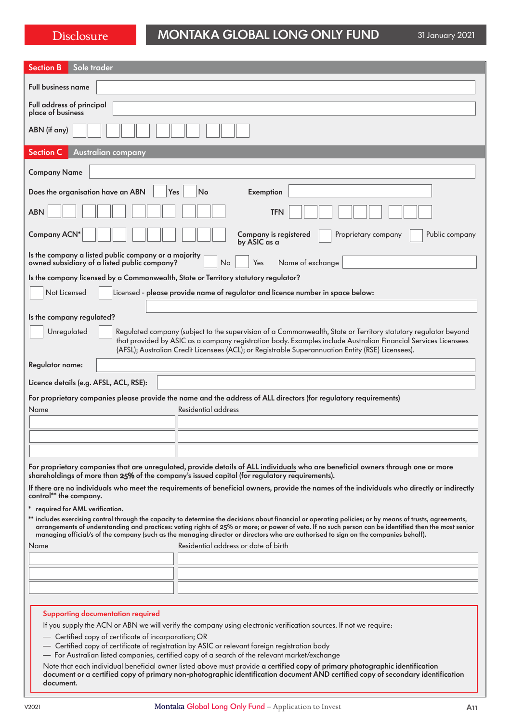| Sole trader<br><b>Section B</b>                                                                                                                                                                                                                                                                                                                                                                                                                          |  |  |  |
|----------------------------------------------------------------------------------------------------------------------------------------------------------------------------------------------------------------------------------------------------------------------------------------------------------------------------------------------------------------------------------------------------------------------------------------------------------|--|--|--|
| <b>Full business name</b>                                                                                                                                                                                                                                                                                                                                                                                                                                |  |  |  |
| Full address of principal<br>place of business                                                                                                                                                                                                                                                                                                                                                                                                           |  |  |  |
| ABN (if any)                                                                                                                                                                                                                                                                                                                                                                                                                                             |  |  |  |
| <b>Section C</b><br><b>Australian company</b>                                                                                                                                                                                                                                                                                                                                                                                                            |  |  |  |
| <b>Company Name</b>                                                                                                                                                                                                                                                                                                                                                                                                                                      |  |  |  |
| Yes<br>No<br>Does the organisation have an ABN<br>Exemption                                                                                                                                                                                                                                                                                                                                                                                              |  |  |  |
| <b>TFN</b><br><b>ABN</b>                                                                                                                                                                                                                                                                                                                                                                                                                                 |  |  |  |
| <b>Company ACN*</b><br><b>Company is registered</b><br>Public company<br>Proprietary company<br>by ASIC as a                                                                                                                                                                                                                                                                                                                                             |  |  |  |
| Is the company a listed public company or a majority<br><b>No</b><br>owned subsidiary of a listed public company?<br>Yes<br>Name of exchange                                                                                                                                                                                                                                                                                                             |  |  |  |
| Is the company licensed by a Commonwealth, State or Territory statutory regulator?                                                                                                                                                                                                                                                                                                                                                                       |  |  |  |
| Not Licensed<br>Licensed - please provide name of regulator and licence number in space below:                                                                                                                                                                                                                                                                                                                                                           |  |  |  |
|                                                                                                                                                                                                                                                                                                                                                                                                                                                          |  |  |  |
| Is the company regulated?                                                                                                                                                                                                                                                                                                                                                                                                                                |  |  |  |
| Unregulated<br>Regulated company (subject to the supervision of a Commonwealth, State or Territory statutory regulator beyond                                                                                                                                                                                                                                                                                                                            |  |  |  |
| that provided by ASIC as a company registration body. Examples include Australian Financial Services Licensees<br>(AFSL); Australian Credit Licensees (ACL); or Registrable Superannuation Entity (RSE) Licensees).                                                                                                                                                                                                                                      |  |  |  |
| Regulator name:                                                                                                                                                                                                                                                                                                                                                                                                                                          |  |  |  |
| Licence details (e.g. AFSL, ACL, RSE):                                                                                                                                                                                                                                                                                                                                                                                                                   |  |  |  |
| For proprietary companies please provide the name and the address of ALL directors (for regulatory requirements)                                                                                                                                                                                                                                                                                                                                         |  |  |  |
| Residential address<br>Name                                                                                                                                                                                                                                                                                                                                                                                                                              |  |  |  |
|                                                                                                                                                                                                                                                                                                                                                                                                                                                          |  |  |  |
|                                                                                                                                                                                                                                                                                                                                                                                                                                                          |  |  |  |
|                                                                                                                                                                                                                                                                                                                                                                                                                                                          |  |  |  |
| For proprietary companies that are unregulated, provide details of ALL individuals who are beneficial owners through one or more<br>shareholdings of more than 25% of the company's issued capital (for regulatory requirements).                                                                                                                                                                                                                        |  |  |  |
| If there are no individuals who meet the requirements of beneficial owners, provide the names of the individuals who directly or indirectly<br>control** the company.                                                                                                                                                                                                                                                                                    |  |  |  |
| required for AML verification.                                                                                                                                                                                                                                                                                                                                                                                                                           |  |  |  |
| ** includes exercising control through the capacity to determine the decisions about financial or operating policies; or by means of trusts, agreements,<br>arrangements of understanding and practices: voting rights of 25% or more; or power of veto. If no such person can be identified then the most senior<br>managing official/s of the company (such as the managing director or directors who are authorised to sign on the companies behalf). |  |  |  |
| Residential address or date of birth<br>Name                                                                                                                                                                                                                                                                                                                                                                                                             |  |  |  |
|                                                                                                                                                                                                                                                                                                                                                                                                                                                          |  |  |  |
|                                                                                                                                                                                                                                                                                                                                                                                                                                                          |  |  |  |
|                                                                                                                                                                                                                                                                                                                                                                                                                                                          |  |  |  |
|                                                                                                                                                                                                                                                                                                                                                                                                                                                          |  |  |  |
| <b>Supporting documentation required</b>                                                                                                                                                                                                                                                                                                                                                                                                                 |  |  |  |
| If you supply the ACN or ABN we will verify the company using electronic verification sources. If not we require:                                                                                                                                                                                                                                                                                                                                        |  |  |  |
| - Certified copy of certificate of incorporation; OR<br>- Certified copy of certificate of registration by ASIC or relevant foreign registration body                                                                                                                                                                                                                                                                                                    |  |  |  |

- 
- For Australian listed companies, certified copy of a search of the relevant market/exchange

Note that each individual beneficial owner listed above must provide a certified copy of primary photographic identification document or a certified copy of primary non-photographic identification document AND certified copy of secondary identification document.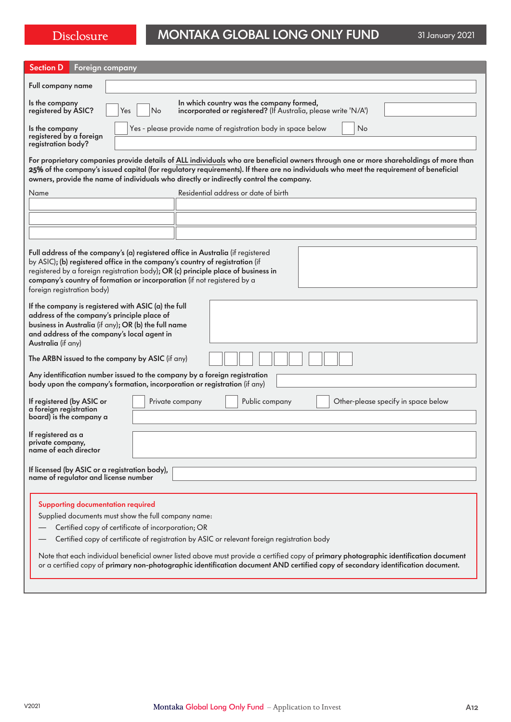# Disclosure MONTAKA GLOBAL LONG ONLY FUND 31 January 2021

| <b>Section D</b><br>Foreign company                                                                                                                                                                                                                                                                                                                           |                                                                                                                                                                                                                                                                                                                                                                           |  |  |
|---------------------------------------------------------------------------------------------------------------------------------------------------------------------------------------------------------------------------------------------------------------------------------------------------------------------------------------------------------------|---------------------------------------------------------------------------------------------------------------------------------------------------------------------------------------------------------------------------------------------------------------------------------------------------------------------------------------------------------------------------|--|--|
| Full company name                                                                                                                                                                                                                                                                                                                                             |                                                                                                                                                                                                                                                                                                                                                                           |  |  |
| In which country was the company formed,<br>Is the company<br>registered by ASIC?<br>incorporated or registered? (If Australia, please write 'N/A')<br>Yes<br>No                                                                                                                                                                                              |                                                                                                                                                                                                                                                                                                                                                                           |  |  |
| Is the company<br>registered by a foreign<br>registration body?                                                                                                                                                                                                                                                                                               | Yes - please provide name of registration body in space below<br>No                                                                                                                                                                                                                                                                                                       |  |  |
|                                                                                                                                                                                                                                                                                                                                                               | For proprietary companies provide details of ALL individuals who are beneficial owners through one or more shareholdings of more than<br>25% of the company's issued capital (for regulatory requirements). If there are no individuals who meet the requirement of beneficial<br>owners, provide the name of individuals who directly or indirectly control the company. |  |  |
| Name                                                                                                                                                                                                                                                                                                                                                          | Residential address or date of birth                                                                                                                                                                                                                                                                                                                                      |  |  |
|                                                                                                                                                                                                                                                                                                                                                               |                                                                                                                                                                                                                                                                                                                                                                           |  |  |
|                                                                                                                                                                                                                                                                                                                                                               |                                                                                                                                                                                                                                                                                                                                                                           |  |  |
|                                                                                                                                                                                                                                                                                                                                                               |                                                                                                                                                                                                                                                                                                                                                                           |  |  |
| Full address of the company's (a) registered office in Australia (if registered<br>by ASIC); (b) registered office in the company's country of registration (if<br>registered by a foreign registration body); OR (c) principle place of business in<br>company's country of formation or incorporation (if not registered by a<br>foreign registration body) |                                                                                                                                                                                                                                                                                                                                                                           |  |  |
| If the company is registered with ASIC (a) the full<br>address of the company's principle place of<br>business in Australia (if any); OR (b) the full name<br>and address of the company's local agent in<br>Australia (if any)                                                                                                                               |                                                                                                                                                                                                                                                                                                                                                                           |  |  |
| The ARBN issued to the company by ASIC (if any)                                                                                                                                                                                                                                                                                                               |                                                                                                                                                                                                                                                                                                                                                                           |  |  |
| Any identification number issued to the company by a foreign registration<br>body upon the company's formation, incorporation or registration (if any)                                                                                                                                                                                                        |                                                                                                                                                                                                                                                                                                                                                                           |  |  |
| If registered (by ASIC or<br>a foreign registration<br>board) is the company a                                                                                                                                                                                                                                                                                | Public company<br>Other-please specify in space below<br>Private company                                                                                                                                                                                                                                                                                                  |  |  |
| If registered as a<br>private company,<br>name of each director                                                                                                                                                                                                                                                                                               |                                                                                                                                                                                                                                                                                                                                                                           |  |  |
| If licensed (by ASIC or a registration body),<br>name of regulator and license number                                                                                                                                                                                                                                                                         |                                                                                                                                                                                                                                                                                                                                                                           |  |  |
|                                                                                                                                                                                                                                                                                                                                                               |                                                                                                                                                                                                                                                                                                                                                                           |  |  |
| Supporting documentation required                                                                                                                                                                                                                                                                                                                             |                                                                                                                                                                                                                                                                                                                                                                           |  |  |
| Supplied documents must show the full company name:<br>Certified copy of certificate of incorporation; OR                                                                                                                                                                                                                                                     |                                                                                                                                                                                                                                                                                                                                                                           |  |  |
| Certified copy of certificate of registration by ASIC or relevant foreign registration body                                                                                                                                                                                                                                                                   |                                                                                                                                                                                                                                                                                                                                                                           |  |  |
| Note that each individual beneficial owner listed above must provide a certified copy of primary photographic identification document<br>or a certified copy of primary non-photographic identification document AND certified copy of secondary identification document.                                                                                     |                                                                                                                                                                                                                                                                                                                                                                           |  |  |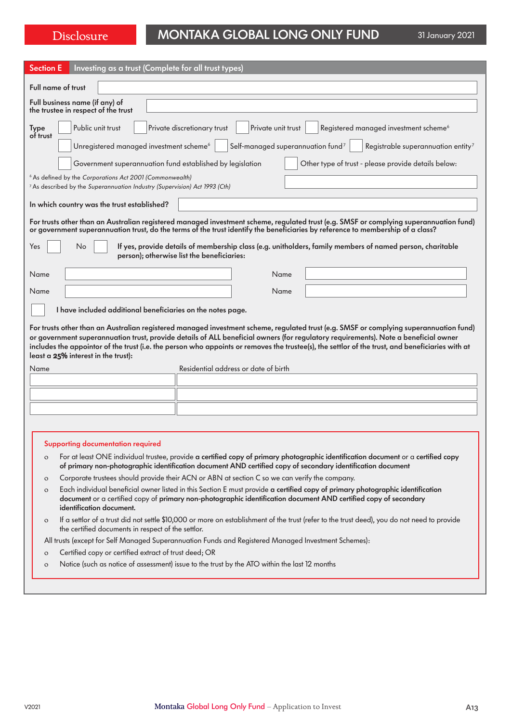# Disclosure MONTAKA GLOBAL LONG ONLY FUND 31 January 2021

| Investing as a trust (Complete for all trust types)<br><b>Section E</b>                                                                                                                                                                                                                                                                                                                                                                                                  |  |  |  |  |
|--------------------------------------------------------------------------------------------------------------------------------------------------------------------------------------------------------------------------------------------------------------------------------------------------------------------------------------------------------------------------------------------------------------------------------------------------------------------------|--|--|--|--|
| <b>Full name of trust</b>                                                                                                                                                                                                                                                                                                                                                                                                                                                |  |  |  |  |
| Full business name (if any) of<br>the trustee in respect of the trust                                                                                                                                                                                                                                                                                                                                                                                                    |  |  |  |  |
| Public unit trust<br>Private unit trust<br>Registered managed investment scheme <sup>6</sup><br>Private discretionary trust<br><b>Type</b><br>of trust                                                                                                                                                                                                                                                                                                                   |  |  |  |  |
| Unregistered managed investment scheme <sup>6</sup><br>Self-managed superannuation fund <sup>7</sup><br>Registrable superannuation entity <sup>7</sup>                                                                                                                                                                                                                                                                                                                   |  |  |  |  |
| Government superannuation fund established by legislation<br>Other type of trust - please provide details below:                                                                                                                                                                                                                                                                                                                                                         |  |  |  |  |
| <sup>6</sup> As defined by the Corporations Act 2001 (Commonwealth)                                                                                                                                                                                                                                                                                                                                                                                                      |  |  |  |  |
| <sup>7</sup> As described by the Superannuation Industry (Supervision) Act 1993 (Cth)                                                                                                                                                                                                                                                                                                                                                                                    |  |  |  |  |
| In which country was the trust established?                                                                                                                                                                                                                                                                                                                                                                                                                              |  |  |  |  |
| For trusts other than an Australian registered managed investment scheme, regulated trust (e.g. SMSF or complying superannuation fund)<br>or government superannuation trust, do the terms of the trust identify the beneficiaries by reference to membership of a class?                                                                                                                                                                                                |  |  |  |  |
| No<br>If yes, provide details of membership class (e.g. unitholders, family members of named person, charitable<br>Yes<br>person); otherwise list the beneficiaries:                                                                                                                                                                                                                                                                                                     |  |  |  |  |
| Name<br>Name                                                                                                                                                                                                                                                                                                                                                                                                                                                             |  |  |  |  |
| Name<br>Name                                                                                                                                                                                                                                                                                                                                                                                                                                                             |  |  |  |  |
| I have included additional beneficiaries on the notes page.                                                                                                                                                                                                                                                                                                                                                                                                              |  |  |  |  |
| For trusts other than an Australian registered managed investment scheme, regulated trust (e.g. SMSF or complying superannuation fund)<br>or government superannuation trust, provide details of ALL beneficial owners (for regulatory requirements). Note a beneficial owner<br>includes the appointor of the trust (i.e. the person who appoints or removes the trustee(s), the settlor of the trust, and beneficiaries with at<br>least a 25% interest in the trust): |  |  |  |  |
| Residential address or date of birth<br>Name                                                                                                                                                                                                                                                                                                                                                                                                                             |  |  |  |  |
|                                                                                                                                                                                                                                                                                                                                                                                                                                                                          |  |  |  |  |
|                                                                                                                                                                                                                                                                                                                                                                                                                                                                          |  |  |  |  |
|                                                                                                                                                                                                                                                                                                                                                                                                                                                                          |  |  |  |  |
|                                                                                                                                                                                                                                                                                                                                                                                                                                                                          |  |  |  |  |
| Supporting documentation required                                                                                                                                                                                                                                                                                                                                                                                                                                        |  |  |  |  |
| For at least ONE individual trustee, provide a certified copy of primary photographic identification document or a certified copy<br>$\circ$                                                                                                                                                                                                                                                                                                                             |  |  |  |  |
| of primary non-photographic identification document AND certified copy of secondary identification document<br>Corporate trustees should provide their ACN or ABN at section C so we can verify the company.                                                                                                                                                                                                                                                             |  |  |  |  |
| $\circ$<br>Each individual beneficial owner listed in this Section E must provide a certified copy of primary photographic identification<br>$\circ$                                                                                                                                                                                                                                                                                                                     |  |  |  |  |
| document or a certified copy of primary non-photographic identification document AND certified copy of secondary<br>identification document.                                                                                                                                                                                                                                                                                                                             |  |  |  |  |
| If a settlor of a trust did not settle \$10,000 or more on establishment of the trust (refer to the trust deed), you do not need to provide<br>$\circ$<br>the certified documents in respect of the settlor.                                                                                                                                                                                                                                                             |  |  |  |  |

- All trusts (except for Self Managed Superannuation Funds and Registered Managed Investment Schemes):
- o Certified copy or certified extract of trust deed; OR
- o Notice (such as notice of assessment) issue to the trust by the ATO within the last 12 months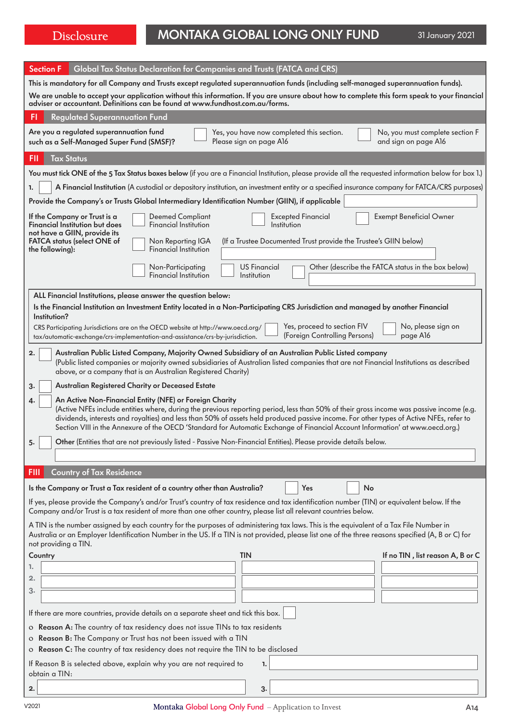# Disclosure MONTAKA GLOBAL LONG ONLY FUND 31 January 2021

| <b>Section F</b><br>Global Tax Status Declaration for Companies and Trusts (FATCA and CRS)                                                                                                                                                                                                                                                                                                                                                                                          |  |  |  |  |
|-------------------------------------------------------------------------------------------------------------------------------------------------------------------------------------------------------------------------------------------------------------------------------------------------------------------------------------------------------------------------------------------------------------------------------------------------------------------------------------|--|--|--|--|
| This is mandatory for all Company and Trusts except regulated superannuation funds (including self-managed superannuation funds).<br>We are unable to accept your application without this information. If you are unsure about how to complete this form speak to your financial<br>adviser or accountant. Definitions can be found at www.fundhost.com.au/forms.                                                                                                                  |  |  |  |  |
| <b>Regulated Superannuation Fund</b><br>FI                                                                                                                                                                                                                                                                                                                                                                                                                                          |  |  |  |  |
| Are you a regulated superannuation fund<br>Yes, you have now completed this section.<br>No, you must complete section F<br>and sign on page A16<br>Please sign on page A16<br>such as a Self-Managed Super Fund (SMSF)?                                                                                                                                                                                                                                                             |  |  |  |  |
| <b>Tax Status</b><br>FII                                                                                                                                                                                                                                                                                                                                                                                                                                                            |  |  |  |  |
| You must tick ONE of the 5 Tax Status boxes below (if you are a Financial Institution, please provide all the requested information below for box 1.)                                                                                                                                                                                                                                                                                                                               |  |  |  |  |
| A Financial Institution (A custodial or depository institution, an investment entity or a specified insurance company for FATCA/CRS purposes)<br>1.                                                                                                                                                                                                                                                                                                                                 |  |  |  |  |
| Provide the Company's or Trusts Global Intermediary Identification Number (GIIN), if applicable                                                                                                                                                                                                                                                                                                                                                                                     |  |  |  |  |
| <b>Exempt Beneficial Owner</b><br><b>Excepted Financial</b><br>If the Company or Trust is a<br><b>Deemed Compliant</b><br>Financial Institution but does<br>Financial Institution<br>Institution<br>not have a GIIN, provide its<br><b>FATCA status (select ONE of</b><br>(If a Trustee Documented Trust provide the Trustee's GIIN below)<br>Non Reporting IGA<br><b>Financial Institution</b><br>the following):                                                                  |  |  |  |  |
| <b>US Financial</b><br>Other (describe the FATCA status in the box below)<br>Non-Participating<br><b>Financial Institution</b><br>Institution                                                                                                                                                                                                                                                                                                                                       |  |  |  |  |
| ALL Financial Institutions, please answer the question below:                                                                                                                                                                                                                                                                                                                                                                                                                       |  |  |  |  |
| Is the Financial Institution an Investment Entity located in a Non-Participating CRS Jurisdiction and managed by another Financial<br>Institution?                                                                                                                                                                                                                                                                                                                                  |  |  |  |  |
| Yes, proceed to section FIV<br>No, please sign on<br>CRS Participating Jurisdictions are on the OECD website at http://www.oecd.org/<br>(Foreign Controlling Persons)<br>page A16<br>tax/automatic-exchange/crs-implementation-and-assistance/crs-by-jurisdiction.                                                                                                                                                                                                                  |  |  |  |  |
| Australian Public Listed Company, Majority Owned Subsidiary of an Australian Public Listed company<br>2.<br>(Public listed companies or majority owned subsidiaries of Australian listed companies that are not Financial Institutions as described<br>above, or a company that is an Australian Registered Charity)                                                                                                                                                                |  |  |  |  |
| Australian Registered Charity or Deceased Estate<br>3.                                                                                                                                                                                                                                                                                                                                                                                                                              |  |  |  |  |
| An Active Non-Financial Entity (NFE) or Foreign Charity<br>4.<br>(Active NFEs include entities where, during the previous reporting period, less than 50% of their gross income was passive income (e.g.<br>dividends, interests and royalties) and less than 50% of assets held produced passive income. For other types of Active NFEs, refer to<br>Section VIII in the Annexure of the OECD 'Standard for Automatic Exchange of Financial Account Information' at www.oecd.org.) |  |  |  |  |
| Other (Entities that are not previously listed - Passive Non-Financial Entities). Please provide details below.<br>5.                                                                                                                                                                                                                                                                                                                                                               |  |  |  |  |
|                                                                                                                                                                                                                                                                                                                                                                                                                                                                                     |  |  |  |  |
| <b>Country of Tax Residence</b><br><b>FIII</b>                                                                                                                                                                                                                                                                                                                                                                                                                                      |  |  |  |  |
| Is the Company or Trust a Tax resident of a country other than Australia?<br>Yes<br>No                                                                                                                                                                                                                                                                                                                                                                                              |  |  |  |  |
| If yes, please provide the Company's and/or Trust's country of tax residence and tax identification number (TIN) or equivalent below. If the<br>Company and/or Trust is a tax resident of more than one other country, please list all relevant countries below.                                                                                                                                                                                                                    |  |  |  |  |
| A TIN is the number assigned by each country for the purposes of administering tax laws. This is the equivalent of a Tax File Number in<br>Australia or an Employer Identification Number in the US. If a TIN is not provided, please list one of the three reasons specified (A, B or C) for<br>not providing a TIN.                                                                                                                                                               |  |  |  |  |
| <b>TIN</b><br>If no TIN, list reason A, B or C<br>Country                                                                                                                                                                                                                                                                                                                                                                                                                           |  |  |  |  |
| 1.                                                                                                                                                                                                                                                                                                                                                                                                                                                                                  |  |  |  |  |
| 2.<br>3.                                                                                                                                                                                                                                                                                                                                                                                                                                                                            |  |  |  |  |
|                                                                                                                                                                                                                                                                                                                                                                                                                                                                                     |  |  |  |  |
| If there are more countries, provide details on a separate sheet and tick this box.                                                                                                                                                                                                                                                                                                                                                                                                 |  |  |  |  |
| o Reason A: The country of tax residency does not issue TINs to tax residents                                                                                                                                                                                                                                                                                                                                                                                                       |  |  |  |  |
| o Reason B: The Company or Trust has not been issued with a TIN<br>o Reason C: The country of tax residency does not require the TIN to be disclosed                                                                                                                                                                                                                                                                                                                                |  |  |  |  |
| If Reason B is selected above, explain why you are not required to<br>1.<br>obtain a TIN:                                                                                                                                                                                                                                                                                                                                                                                           |  |  |  |  |
| 3.<br>2.                                                                                                                                                                                                                                                                                                                                                                                                                                                                            |  |  |  |  |
|                                                                                                                                                                                                                                                                                                                                                                                                                                                                                     |  |  |  |  |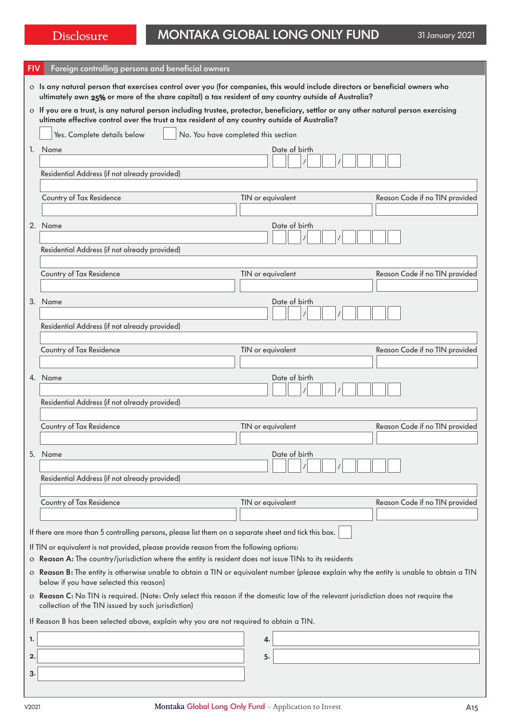| <b>FIV</b>                                                                                                                                                                                 | Foreign controlling persons and beneficial owners                                                                                                                                                                                      |                                     |                                |  |  |
|--------------------------------------------------------------------------------------------------------------------------------------------------------------------------------------------|----------------------------------------------------------------------------------------------------------------------------------------------------------------------------------------------------------------------------------------|-------------------------------------|--------------------------------|--|--|
|                                                                                                                                                                                            | o Is any natural person that exercises control over you (for companies, this would include directors or beneficial owners who<br>ultimately own 25% or more of the share capital) a tax resident of any country outside of Australia?  |                                     |                                |  |  |
|                                                                                                                                                                                            | o If you are a trust, is any natural person including trustee, protector, beneficiary, settlor or any other natural person exercising<br>ultimate effective control over the trust a tax resident of any country outside of Australia? |                                     |                                |  |  |
|                                                                                                                                                                                            | Yes. Complete details below                                                                                                                                                                                                            | No. You have completed this section |                                |  |  |
|                                                                                                                                                                                            | 1. Name                                                                                                                                                                                                                                | Date of birth                       |                                |  |  |
|                                                                                                                                                                                            |                                                                                                                                                                                                                                        |                                     |                                |  |  |
|                                                                                                                                                                                            | Residential Address (if not already provided)                                                                                                                                                                                          |                                     |                                |  |  |
|                                                                                                                                                                                            | Country of Tax Residence                                                                                                                                                                                                               | TIN or equivalent                   | Reason Code if no TIN provided |  |  |
|                                                                                                                                                                                            |                                                                                                                                                                                                                                        |                                     |                                |  |  |
|                                                                                                                                                                                            | 2. Name                                                                                                                                                                                                                                | Date of birth                       |                                |  |  |
|                                                                                                                                                                                            |                                                                                                                                                                                                                                        |                                     |                                |  |  |
|                                                                                                                                                                                            | Residential Address (if not already provided)                                                                                                                                                                                          |                                     |                                |  |  |
|                                                                                                                                                                                            | Country of Tax Residence                                                                                                                                                                                                               | TIN or equivalent                   | Reason Code if no TIN provided |  |  |
|                                                                                                                                                                                            |                                                                                                                                                                                                                                        |                                     |                                |  |  |
|                                                                                                                                                                                            | 3. Name                                                                                                                                                                                                                                | Date of birth                       |                                |  |  |
|                                                                                                                                                                                            |                                                                                                                                                                                                                                        |                                     |                                |  |  |
|                                                                                                                                                                                            | Residential Address (if not already provided)                                                                                                                                                                                          |                                     |                                |  |  |
|                                                                                                                                                                                            | Country of Tax Residence                                                                                                                                                                                                               | TIN or equivalent                   | Reason Code if no TIN provided |  |  |
|                                                                                                                                                                                            |                                                                                                                                                                                                                                        |                                     |                                |  |  |
|                                                                                                                                                                                            | 4. Name                                                                                                                                                                                                                                | Date of birth                       |                                |  |  |
|                                                                                                                                                                                            |                                                                                                                                                                                                                                        |                                     |                                |  |  |
|                                                                                                                                                                                            | Residential Address (if not already provided)                                                                                                                                                                                          |                                     |                                |  |  |
|                                                                                                                                                                                            | Country of Tax Residence                                                                                                                                                                                                               | TIN or equivalent                   | Reason Code if no TIN provided |  |  |
|                                                                                                                                                                                            |                                                                                                                                                                                                                                        |                                     |                                |  |  |
|                                                                                                                                                                                            | 5. Name                                                                                                                                                                                                                                | Date of birth                       |                                |  |  |
|                                                                                                                                                                                            |                                                                                                                                                                                                                                        |                                     |                                |  |  |
|                                                                                                                                                                                            | Residential Address (if not already provided)                                                                                                                                                                                          |                                     |                                |  |  |
|                                                                                                                                                                                            | Country of Tax Residence                                                                                                                                                                                                               | TIN or equivalent                   | Reason Code if no TIN provided |  |  |
|                                                                                                                                                                                            |                                                                                                                                                                                                                                        |                                     |                                |  |  |
|                                                                                                                                                                                            | If there are more than 5 controlling persons, please list them on a separate sheet and tick this box.                                                                                                                                  |                                     |                                |  |  |
|                                                                                                                                                                                            | If TIN or equivalent is not provided, please provide reason from the following options:                                                                                                                                                |                                     |                                |  |  |
| o Reason A: The country/jurisdiction where the entity is resident does not issue TINs to its residents                                                                                     |                                                                                                                                                                                                                                        |                                     |                                |  |  |
| o Reason B: The entity is otherwise unable to obtain a TIN or equivalent number (please explain why the entity is unable to obtain a TIN<br>below if you have selected this reason)        |                                                                                                                                                                                                                                        |                                     |                                |  |  |
| o Reason C: No TIN is required. (Note: Only select this reason if the domestic law of the relevant jurisdiction does not require the<br>collection of the TIN issued by such jurisdiction) |                                                                                                                                                                                                                                        |                                     |                                |  |  |
| If Reason B has been selected above, explain why you are not required to obtain a TIN.                                                                                                     |                                                                                                                                                                                                                                        |                                     |                                |  |  |
| 1.                                                                                                                                                                                         |                                                                                                                                                                                                                                        | 4.                                  |                                |  |  |
| 2.                                                                                                                                                                                         |                                                                                                                                                                                                                                        | 5.                                  |                                |  |  |
|                                                                                                                                                                                            |                                                                                                                                                                                                                                        |                                     |                                |  |  |
| з.                                                                                                                                                                                         |                                                                                                                                                                                                                                        |                                     |                                |  |  |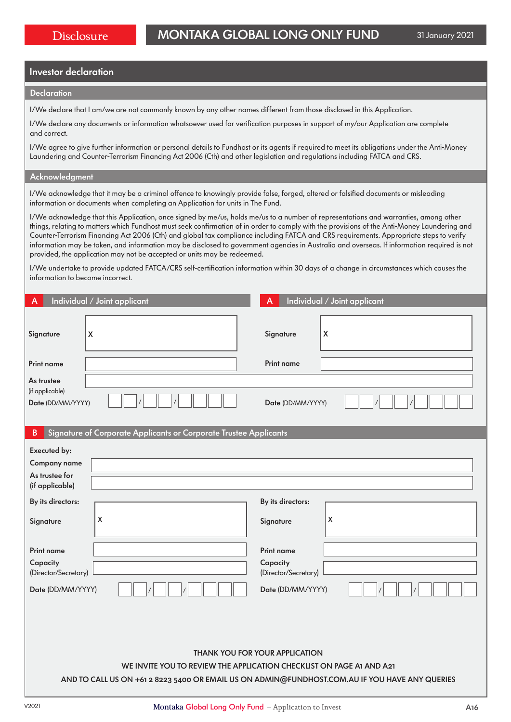# Investor declaration

#### **Declaration**

I/We declare that I am/we are not commonly known by any other names different from those disclosed in this Application.

I/We declare any documents or information whatsoever used for verification purposes in support of my/our Application are complete and correct.

I/We agree to give further information or personal details to Fundhost or its agents if required to meet its obligations under the Anti-Money Laundering and Counter-Terrorism Financing Act 2006 (Cth) and other legislation and regulations including FATCA and CRS.

### Acknowledgment

I/We acknowledge that it may be a criminal offence to knowingly provide false, forged, altered or falsified documents or misleading information or documents when completing an Application for units in The Fund.

I/We acknowledge that this Application, once signed by me/us, holds me/us to a number of representations and warranties, among other things, relating to matters which Fundhost must seek confirmation of in order to comply with the provisions of the Anti-Money Laundering and Counter-Terrorism Financing Act 2006 (Cth) and global tax compliance including FATCA and CRS requirements. Appropriate steps to verify information may be taken, and information may be disclosed to government agencies in Australia and overseas. If information required is not provided, the application may not be accepted or units may be redeemed.

I/We undertake to provide updated FATCA/CRS self-certification information within 30 days of a change in circumstances which causes the information to become incorrect.

| А                                                                                              | Individual / Joint applicant                                      | А                    | Individual / Joint applicant |  |
|------------------------------------------------------------------------------------------------|-------------------------------------------------------------------|----------------------|------------------------------|--|
| Signature                                                                                      | $\boldsymbol{X}$                                                  | Signature            | X                            |  |
| <b>Print name</b>                                                                              |                                                                   | <b>Print name</b>    |                              |  |
| As trustee<br>(if applicable)<br>Date (DD/MM/YYYY)                                             |                                                                   | Date (DD/MM/YYYY)    |                              |  |
| $\mathsf B$                                                                                    | Signature of Corporate Applicants or Corporate Trustee Applicants |                      |                              |  |
| Executed by:                                                                                   |                                                                   |                      |                              |  |
| Company name                                                                                   |                                                                   |                      |                              |  |
| As trustee for<br>(if applicable)                                                              |                                                                   |                      |                              |  |
| By its directors:                                                                              |                                                                   | By its directors:    |                              |  |
| Signature                                                                                      | X                                                                 | Signature            | X                            |  |
| <b>Print name</b>                                                                              |                                                                   | <b>Print name</b>    |                              |  |
| Capacity                                                                                       |                                                                   | Capacity             |                              |  |
| (Director/Secretary)                                                                           |                                                                   | (Director/Secretary) |                              |  |
| Date (DD/MM/YYYY)                                                                              |                                                                   | Date (DD/MM/YYYY)    |                              |  |
|                                                                                                |                                                                   |                      |                              |  |
| <b>THANK YOU FOR YOUR APPLICATION</b>                                                          |                                                                   |                      |                              |  |
| WE INVITE YOU TO REVIEW THE APPLICATION CHECKLIST ON PAGE A1 AND A21                           |                                                                   |                      |                              |  |
| AND TO CALL US ON +61 2 8223 5400 OR EMAIL US ON ADMIN@FUNDHOST.COM.AU IF YOU HAVE ANY QUERIES |                                                                   |                      |                              |  |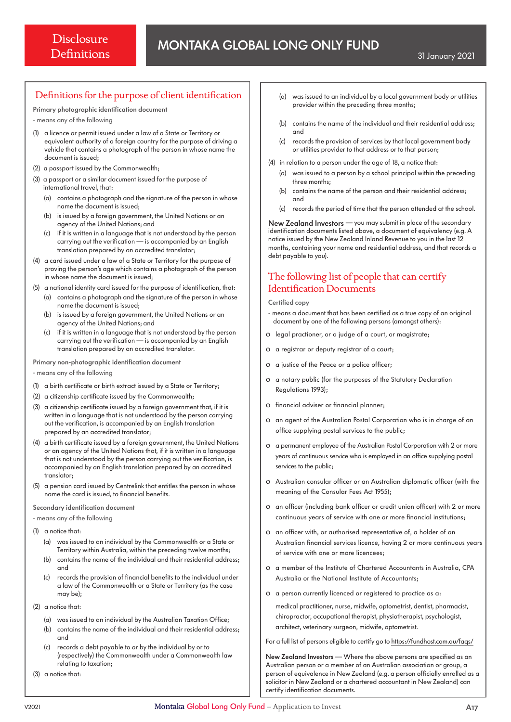# Definitions for the purpose of client identification

Primary photographic identification document

- means any of the following

- (1) a licence or permit issued under a law of a State or Territory or equivalent authority of a foreign country for the purpose of driving a vehicle that contains a photograph of the person in whose name the document is issued;
- (2) a passport issued by the Commonwealth;
- (3) a passport or a similar document issued for the purpose of international travel, that:
	- (a) contains a photograph and the signature of the person in whose name the document is issued;
	- (b) is issued by a foreign government, the United Nations or an agency of the United Nations; and
	- (c) if it is written in a language that is not understood by the person carrying out the verification — is accompanied by an English translation prepared by an accredited translator;
- (4) a card issued under a law of a State or Territory for the purpose of proving the person's age which contains a photograph of the person in whose name the document is issued;
- (5) a national identity card issued for the purpose of identification, that: (a) contains a photograph and the signature of the person in whose name the document is issued;
	- (b) is issued by a foreign government, the United Nations or an agency of the United Nations; and
	- (c) if it is written in a language that is not understood by the person carrying out the verification — is accompanied by an English translation prepared by an accredited translator.

Primary non-photographic identification document

- means any of the following

- (1) a birth certificate or birth extract issued by a State or Territory;
- (2) a citizenship certificate issued by the Commonwealth;
- (3) a citizenship certificate issued by a foreign government that, if it is written in a language that is not understood by the person carrying out the verification, is accompanied by an English translation prepared by an accredited translator;
- (4) a birth certificate issued by a foreign government, the United Nations or an agency of the United Nations that, if it is written in a language that is not understood by the person carrying out the verification, is accompanied by an English translation prepared by an accredited translator;
- (5) a pension card issued by Centrelink that entitles the person in whose name the card is issued, to financial benefits.

Secondary identification document

- means any of the following

(1) a notice that:

- (a) was issued to an individual by the Commonwealth or a State or Territory within Australia, within the preceding twelve months;
- (b) contains the name of the individual and their residential address; and
- records the provision of financial benefits to the individual under a law of the Commonwealth or a State or Territory (as the case may be);
- (2) a notice that:
	- (a) was issued to an individual by the Australian Taxation Office;
	- (b) contains the name of the individual and their residential address; and
	- (c) records a debt payable to or by the individual by or to (respectively) the Commonwealth under a Commonwealth law relating to taxation;

(3) a notice that:

- (a) was issued to an individual by a local government body or utilities provider within the preceding three months;
- (b) contains the name of the individual and their residential address; and
- (c) records the provision of services by that local government body or utilities provider to that address or to that person;
- (4) in relation to a person under the age of 18, a notice that:
	- (a) was issued to a person by a school principal within the preceding three months;
	- (b) contains the name of the person and their residential address; and
	- (c) records the period of time that the person attended at the school.

New Zealand Investors — you may submit in place of the secondary identification documents listed above, a document of equivalency (e.g. A notice issued by the New Zealand Inland Revenue to you in the last 12 months, containing your name and residential address, and that records a debt payable to you).

# The following list of people that can certify Identification Documents

#### Certified copy

- means a document that has been certified as a true copy of an original document by one of the following persons (amongst others):
- o legal practioner, or a judge of a court, or magistrate;
- o a registrar or deputy registrar of a court;
- o a justice of the Peace or a police officer;
- o a notary public (for the purposes of the Statutory Declaration Regulations 1993);
- o financial adviser or financial planner;
- o an agent of the Australian Postal Corporation who is in charge of an office supplying postal services to the public;
- o a permanent employee of the Australian Postal Corporation with 2 or more years of continuous service who is employed in an office supplying postal services to the public;
- o Australian consular officer or an Australian diplomatic officer (with the meaning of the Consular Fees Act 1955);
- o an officer (including bank officer or credit union officer) with 2 or more continuous years of service with one or more financial institutions;
- o an officer with, or authorised representative of, a holder of an Australian financial services licence, having 2 or more continuous years of service with one or more licencees;
- o a member of the Institute of Chartered Accountants in Australia, CPA Australia or the National Institute of Accountants;
- o a person currently licenced or registered to practice as a:

medical practitioner, nurse, midwife, optometrist, dentist, pharmacist, chiropractor, occupational therapist, physiotherapist, psychologist, architect, veterinary surgeon, midwife, optometrist.

For a full list of persons eligible to certify go to https://fundhost.com.au/faqs/

New Zealand Investors — Where the above persons are specified as an Australian person or a member of an Australian association or group, a person of equivalence in New Zealand (e.g. a person officially enrolled as a solicitor in New Zealand or a chartered accountant in New Zealand) can certify identification documents.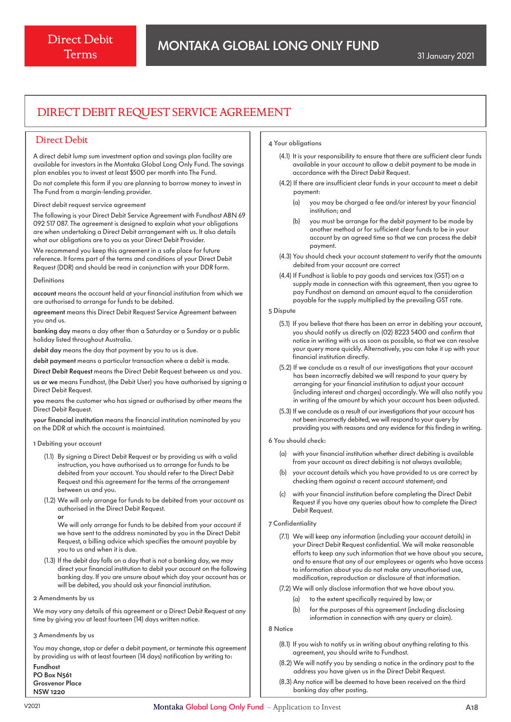# DIRECT DEBIT REQUEST SERVICE AGREEMENT

# Direct Debit

A direct debit lump sum investment option and savings plan facility are available for investors in the Montaka Global Long Only Fund. The savings plan enables you to invest at least \$500 per month into The Fund.

Do not complete this form if you are planning to borrow money to invest in The Fund from a margin-lending provider.

Direct debit request service agreement

The following is your Direct Debit Service Agreement with Fundhost ABN 69 092 517 087. The agreement is designed to explain what your obligations are when undertaking a Direct Debit arrangement with us. It also details what our obligations are to you as your Direct Debit Provider.

We recommend you keep this agreement in a safe place for future reference. It forms part of the terms and conditions of your Direct Debit Request (DDR) and should be read in conjunction with your DDR form.

#### Definitions

account means the account held at your financial institution from which we are authorised to arrange for funds to be debited.

agreement means this Direct Debit Request Service Agreement between you and us.

banking day means a day other than a Saturday or a Sunday or a public holiday listed throughout Australia.

debit day means the day that payment by you to us is due.

debit payment means a particular transaction where a debit is made.

Direct Debit Request means the Direct Debit Request between us and you.

us or we means Fundhost, (the Debit User) you have authorised by signing a Direct Debit Request.

you means the customer who has signed or authorised by other means the Direct Debit Request.

your financial institution means the financial institution nominated by you on the DDR at which the account is maintained.

#### 1 Debiting your account

- (1.1) By signing a Direct Debit Request or by providing us with a valid instruction, you have authorised us to arrange for funds to be debited from your account. You should refer to the Direct Debit Request and this agreement for the terms of the arrangement between us and you.
- (1.2) We will only arrange for funds to be debited from your account as authorised in the Direct Debit Request. or

 We will only arrange for funds to be debited from your account if we have sent to the address nominated by you in the Direct Debit Request, a billing advice which specifies the amount payable by you to us and when it is due.

- (1.3) If the debit day falls on a day that is not a banking day, we may direct your financial institution to debit your account on the following banking day. If you are unsure about which day your account has or will be debited, you should ask your financial institution.
- 2 Amendments by us

We may vary any details of this agreement or a Direct Debit Request at any time by giving you at least fourteen (14) days written notice.

3 Amendments by us

You may change, stop or defer a debit payment, or terminate this agreement by providing us with at least fourteen (14 days) notification by writing to: Fundhost

PO Box N561 Grosvenor Place NSW 1220

#### 4 Your obligations

- (4.1) It is your responsibility to ensure that there are sufficient clear funds available in your account to allow a debit payment to be made in accordance with the Direct Debit Request.
- (4.2) If there are insufficient clear funds in your account to meet a debit payment:
	- (a) you may be charged a fee and/or interest by your financial institution; and
	- (b) you must be arrange for the debit payment to be made by another method or for sufficient clear funds to be in your account by an agreed time so that we can process the debit payment.
- (4.3) You should check your account statement to verify that the amounts debited from your account are correct
- (4.4) If Fundhost is liable to pay goods and services tax (GST) on a supply made in connection with this agreement, then you agree to pay Fundhost on demand an amount equal to the consideration payable for the supply multiplied by the prevailing GST rate.

#### 5 Dispute

- (5.1) If you believe that there has been an error in debiting your account, you should notify us directly on (02) 8223 5400 and confirm that notice in writing with us as soon as possible, so that we can resolve your query more quickly. Alternatively, you can take it up with your financial institution directly.
- (5.2) If we conclude as a result of our investigations that your account has been incorrectly debited we will respond to your query by arranging for your financial institution to adjust your account (including interest and charges) accordingly. We will also notify you in writing of the amount by which your account has been adjusted.
- (5.3) If we conclude as a result of our investigations that your account has not been incorrectly debited, we will respond to your query by providing you with reasons and any evidence for this finding in writing.
- 6 You should check:
	- (a) with your financial institution whether direct debiting is available from your account as direct debiting is not always available;
	- (b) your account details which you have provided to us are correct by checking them against a recent account statement; and
	- (c) with your financial institution before completing the Direct Debit Request if you have any queries about how to complete the Direct Debit Request.
- 7 Confidentiality
	- (7.1) We will keep any information (including your account details) in your Direct Debit Request confidential. We will make reasonable efforts to keep any such information that we have about you secure, and to ensure that any of our employees or agents who have access to information about you do not make any unauthorised use, modification, reproduction or disclosure of that information.
	- (7.2) We will only disclose information that we have about you.
		- (a) to the extent specifically required by law; or
		- (b) for the purposes of this agreement (including disclosing information in connection with any query or claim).

#### 8 Notice

- (8.1) If you wish to notify us in writing about anything relating to this agreement, you should write to Fundhost.
- (8.2) We will notify you by sending a notice in the ordinary post to the address you have given us in the Direct Debit Request.
- (8.3) Any notice will be deemed to have been received on the third banking day after posting.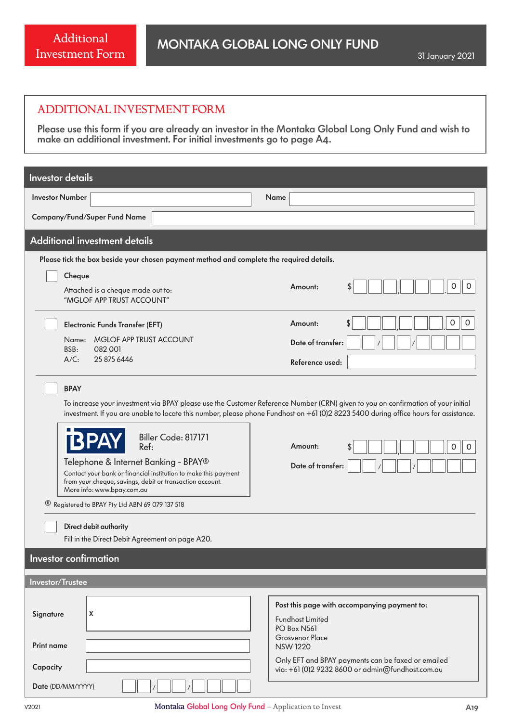# ADDITIONAL INVESTMENT FORM

Please use this form if you are already an investor in the Montaka Global Long Only Fund and wish to make an additional investment. For initial investments go to page A4.

| <b>Investor details</b>                                                                                                                                                                                                                                                                                                                                                                                                                                                                                                                                                                                                                                                                                                 |                                                                                                                  |  |  |  |  |
|-------------------------------------------------------------------------------------------------------------------------------------------------------------------------------------------------------------------------------------------------------------------------------------------------------------------------------------------------------------------------------------------------------------------------------------------------------------------------------------------------------------------------------------------------------------------------------------------------------------------------------------------------------------------------------------------------------------------------|------------------------------------------------------------------------------------------------------------------|--|--|--|--|
| <b>Investor Number</b>                                                                                                                                                                                                                                                                                                                                                                                                                                                                                                                                                                                                                                                                                                  | Name                                                                                                             |  |  |  |  |
| Company/Fund/Super Fund Name                                                                                                                                                                                                                                                                                                                                                                                                                                                                                                                                                                                                                                                                                            |                                                                                                                  |  |  |  |  |
| <b>Additional investment details</b>                                                                                                                                                                                                                                                                                                                                                                                                                                                                                                                                                                                                                                                                                    |                                                                                                                  |  |  |  |  |
| Please tick the box beside your chosen payment method and complete the required details.                                                                                                                                                                                                                                                                                                                                                                                                                                                                                                                                                                                                                                |                                                                                                                  |  |  |  |  |
| Cheque                                                                                                                                                                                                                                                                                                                                                                                                                                                                                                                                                                                                                                                                                                                  | Amount:<br>0<br>0                                                                                                |  |  |  |  |
| Attached is a cheque made out to:<br>"MGLOF APP TRUST ACCOUNT"                                                                                                                                                                                                                                                                                                                                                                                                                                                                                                                                                                                                                                                          |                                                                                                                  |  |  |  |  |
| <b>Electronic Funds Transfer (EFT)</b>                                                                                                                                                                                                                                                                                                                                                                                                                                                                                                                                                                                                                                                                                  | 0<br>0<br>\$<br>Amount:                                                                                          |  |  |  |  |
| Name: MGLOF APP TRUST ACCOUNT<br>BSB:<br>082 001                                                                                                                                                                                                                                                                                                                                                                                                                                                                                                                                                                                                                                                                        | Date of transfer:                                                                                                |  |  |  |  |
| $A/C$ :<br>25 875 6446                                                                                                                                                                                                                                                                                                                                                                                                                                                                                                                                                                                                                                                                                                  | Reference used:                                                                                                  |  |  |  |  |
| <b>BPAY</b><br>To increase your investment via BPAY please use the Customer Reference Number (CRN) given to you on confirmation of your initial<br>investment. If you are unable to locate this number, please phone Fundhost on +61 (0)2 8223 5400 during office hours for assistance.<br>Biller Code: 817171<br>Ref:<br>Amount:<br>0<br>$\Omega$<br>Telephone & Internet Banking - BPAY®<br>Date of transfer:<br>Contact your bank or financial institution to make this payment<br>from your cheque, savings, debit or transaction account.<br>More info: www.bpay.com.au<br><sup>®</sup> Registered to BPAY Pty Ltd ABN 69 079 137 518<br>Direct debit authority<br>Fill in the Direct Debit Agreement on page A20. |                                                                                                                  |  |  |  |  |
| <b>Investor confirmation</b>                                                                                                                                                                                                                                                                                                                                                                                                                                                                                                                                                                                                                                                                                            |                                                                                                                  |  |  |  |  |
| Investor/Trustee                                                                                                                                                                                                                                                                                                                                                                                                                                                                                                                                                                                                                                                                                                        |                                                                                                                  |  |  |  |  |
| X<br>Signature                                                                                                                                                                                                                                                                                                                                                                                                                                                                                                                                                                                                                                                                                                          | Post this page with accompanying payment to:<br><b>Fundhost Limited</b><br>PO Box N561<br><b>Grosvenor Place</b> |  |  |  |  |
| <b>Print name</b>                                                                                                                                                                                                                                                                                                                                                                                                                                                                                                                                                                                                                                                                                                       | <b>NSW 1220</b><br>Only EFT and BPAY payments can be faxed or emailed                                            |  |  |  |  |
| Capacity                                                                                                                                                                                                                                                                                                                                                                                                                                                                                                                                                                                                                                                                                                                | via: +61 (0)2 9232 8600 or admin@fundhost.com.au                                                                 |  |  |  |  |
| Date (DD/MM/YYYY)                                                                                                                                                                                                                                                                                                                                                                                                                                                                                                                                                                                                                                                                                                       |                                                                                                                  |  |  |  |  |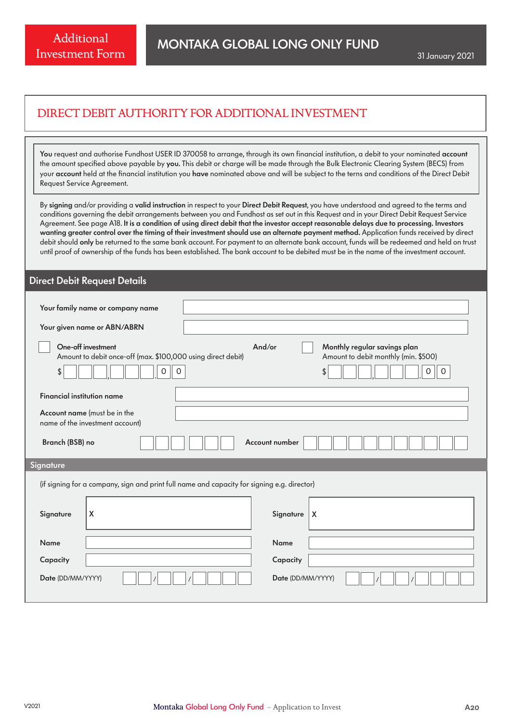# DIRECT DEBIT AUTHORITY FOR ADDITIONAL INVESTMENT

You request and authorise Fundhost USER ID 370058 to arrange, through its own financial institution, a debit to your nominated account the amount specified above payable by you. This debit or charge will be made through the Bulk Electronic Clearing System (BECS) from your account held at the financial institution you have nominated above and will be subject to the terns and conditions of the Direct Debit Request Service Agreement.

By signing and/or providing a valid instruction in respect to your Direct Debit Request, you have understood and agreed to the terms and conditions governing the debit arrangements between you and Fundhost as set out in this Request and in your Direct Debit Request Service Agreement. See page A18. It is a condition of using direct debit that the investor accept reasonable delays due to processing. Investors wanting greater control over the timing of their investment should use an alternate payment method. Application funds received by direct debit should only be returned to the same bank account. For payment to an alternate bank account, funds will be redeemed and held on trust until proof of ownership of the funds has been established. The bank account to be debited must be in the name of the investment account.

# Direct Debit Request Details

| Your family name or company name                                                                          |                                                                                                       |  |  |  |  |
|-----------------------------------------------------------------------------------------------------------|-------------------------------------------------------------------------------------------------------|--|--|--|--|
| Your given name or ABN/ABRN                                                                               |                                                                                                       |  |  |  |  |
| One-off investment<br>Amount to debit once-off (max. \$100,000 using direct debit)<br>$\Omega$<br>\$<br>0 | And/or<br>Monthly regular savings plan<br>Amount to debit monthly (min. \$500)<br>\$<br>Ω<br>$\Omega$ |  |  |  |  |
| <b>Financial institution name</b>                                                                         |                                                                                                       |  |  |  |  |
| Account name (must be in the<br>name of the investment account)                                           |                                                                                                       |  |  |  |  |
| Account number<br>Branch (BSB) no                                                                         |                                                                                                       |  |  |  |  |
| Signature                                                                                                 |                                                                                                       |  |  |  |  |
| (if signing for a company, sign and print full name and capacity for signing e.g. director)               |                                                                                                       |  |  |  |  |
| X<br>Signature                                                                                            | Signature<br>  X                                                                                      |  |  |  |  |
| Name                                                                                                      | <b>Name</b>                                                                                           |  |  |  |  |
| Capacity                                                                                                  | Capacity                                                                                              |  |  |  |  |
| Date (DD/MM/YYYY)<br>Date (DD/MM/YYYY)                                                                    |                                                                                                       |  |  |  |  |
|                                                                                                           |                                                                                                       |  |  |  |  |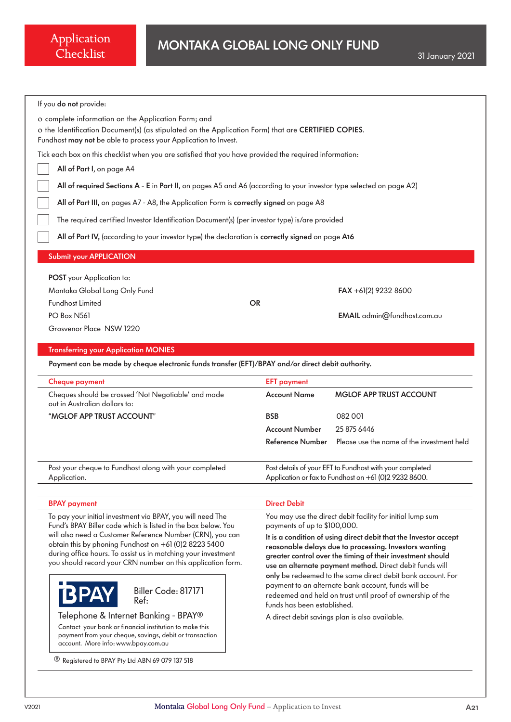| If you do not provide:                                                                                                                                                                                                        |                                                                                                                        |  |  |  |
|-------------------------------------------------------------------------------------------------------------------------------------------------------------------------------------------------------------------------------|------------------------------------------------------------------------------------------------------------------------|--|--|--|
| o complete information on the Application Form; and<br>o the Identification Document(s) (as stipulated on the Application Form) that are CERTIFIED COPIES.<br>Fundhost may not be able to process your Application to Invest. |                                                                                                                        |  |  |  |
| Tick each box on this checklist when you are satisfied that you have provided the required information:                                                                                                                       |                                                                                                                        |  |  |  |
| All of Part I, on page A4                                                                                                                                                                                                     |                                                                                                                        |  |  |  |
| All of required Sections A - E in Part II, on pages A5 and A6 (according to your investor type selected on page A2)                                                                                                           |                                                                                                                        |  |  |  |
| All of Part III, on pages A7 - A8, the Application Form is correctly signed on page A8                                                                                                                                        |                                                                                                                        |  |  |  |
| The required certified Investor Identification Document(s) (per investor type) is/are provided                                                                                                                                |                                                                                                                        |  |  |  |
| All of Part IV, (according to your investor type) the declaration is correctly signed on page A16                                                                                                                             |                                                                                                                        |  |  |  |
|                                                                                                                                                                                                                               |                                                                                                                        |  |  |  |
| <b>Submit your APPLICATION</b>                                                                                                                                                                                                |                                                                                                                        |  |  |  |
| POST your Application to:                                                                                                                                                                                                     |                                                                                                                        |  |  |  |
| Montaka Global Long Only Fund                                                                                                                                                                                                 | FAX +61(2) 9232 8600                                                                                                   |  |  |  |
| <b>Fundhost Limited</b><br><b>OR</b>                                                                                                                                                                                          |                                                                                                                        |  |  |  |
| PO Box N561                                                                                                                                                                                                                   | EMAIL admin@fundhost.com.au                                                                                            |  |  |  |
| Grosvenor Place NSW 1220                                                                                                                                                                                                      |                                                                                                                        |  |  |  |
| <b>Transferring your Application MONIES</b>                                                                                                                                                                                   |                                                                                                                        |  |  |  |
| Payment can be made by cheque electronic funds transfer (EFT)/BPAY and/or direct debit authority.                                                                                                                             |                                                                                                                        |  |  |  |
| <b>Cheque payment</b>                                                                                                                                                                                                         | <b>EFT payment</b>                                                                                                     |  |  |  |
| Cheques should be crossed 'Not Negotiable' and made<br>out in Australian dollars to:                                                                                                                                          | <b>Account Name</b><br><b>MGLOF APP TRUST ACCOUNT</b>                                                                  |  |  |  |
| "MGLOF APP TRUST ACCOUNT"                                                                                                                                                                                                     | <b>BSB</b><br>082 001                                                                                                  |  |  |  |
|                                                                                                                                                                                                                               | <b>Account Number</b><br>25 875 6446                                                                                   |  |  |  |
|                                                                                                                                                                                                                               | Please use the name of the investment held<br>Reference Number                                                         |  |  |  |
| Post your cheque to Fundhost along with your completed<br>Application.                                                                                                                                                        | Post details of your EFT to Fundhost with your completed<br>Application or fax to Fundhost on +61 (0)2 9232 8600.      |  |  |  |
| <b>BPAY</b> payment                                                                                                                                                                                                           | <b>Direct Debit</b>                                                                                                    |  |  |  |
| To pay your initial investment via BPAY, you will need The                                                                                                                                                                    | You may use the direct debit facility for initial lump sum                                                             |  |  |  |
| Fund's BPAY Biller code which is listed in the box below. You                                                                                                                                                                 | payments of up to \$100,000.                                                                                           |  |  |  |
| will also need a Customer Reference Number (CRN), you can                                                                                                                                                                     | It is a condition of using direct debit that the Investor accept                                                       |  |  |  |
| obtain this by phoning Fundhost on +61 (0)2 8223 5400<br>during office hours. To assist us in matching your investment                                                                                                        | reasonable delays due to processing. Investors wanting                                                                 |  |  |  |
| you should record your CRN number on this application form.                                                                                                                                                                   | greater control over the timing of their investment should<br>use an alternate payment method. Direct debit funds will |  |  |  |
|                                                                                                                                                                                                                               | only be redeemed to the same direct debit bank account. For                                                            |  |  |  |
| Biller Code: 817171                                                                                                                                                                                                           | payment to an alternate bank account, funds will be                                                                    |  |  |  |
| Ref:                                                                                                                                                                                                                          | redeemed and held on trust until proof of ownership of the<br>funds has been established.                              |  |  |  |
| Telephone & Internet Banking - BPAY®                                                                                                                                                                                          | A direct debit savings plan is also available.                                                                         |  |  |  |
| Contact your bank or financial institution to make this                                                                                                                                                                       |                                                                                                                        |  |  |  |
| payment from your cheque, savings, debit or transaction<br>account. More info: www.bpay.com.au                                                                                                                                |                                                                                                                        |  |  |  |
| <sup>®</sup> Registered to BPAY Pty Ltd ABN 69 079 137 518                                                                                                                                                                    |                                                                                                                        |  |  |  |